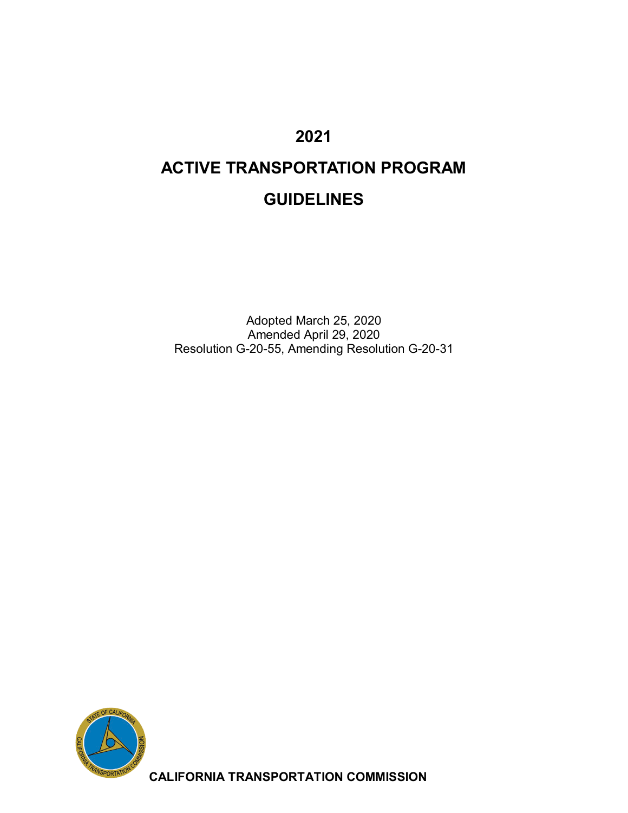## **2021**

# **ACTIVE TRANSPORTATION PROGRAM GUIDELINES**

Adopted March 25, 2020 Amended April 29, 2020 Resolution G-20-55, Amending Resolution G-20-31



**CALIFORNIA TRANSPORTATION COMMISSION**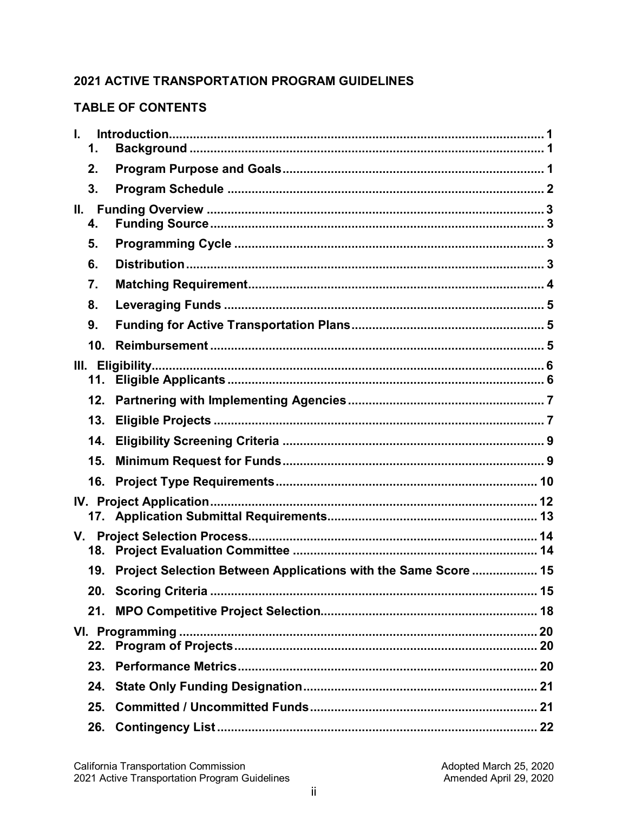## **2021 ACTIVE TRANSPORTATION PROGRAM GUIDELINES**

#### **TABLE OF CONTENTS**

| L.  | 1.  |                                                                |  |
|-----|-----|----------------------------------------------------------------|--|
|     | 2.  |                                                                |  |
|     | 3.  |                                                                |  |
| II. | 4.  |                                                                |  |
|     | 5.  |                                                                |  |
|     | 6.  |                                                                |  |
|     | 7.  |                                                                |  |
|     | 8.  |                                                                |  |
|     | 9.  |                                                                |  |
|     | 10. |                                                                |  |
|     | 11. |                                                                |  |
|     | 12. |                                                                |  |
|     | 13. |                                                                |  |
|     | 14. |                                                                |  |
|     | 15. |                                                                |  |
|     | 16. |                                                                |  |
|     |     |                                                                |  |
|     |     |                                                                |  |
|     | 19. | Project Selection Between Applications with the Same Score  15 |  |
|     |     |                                                                |  |
|     | 21. |                                                                |  |
|     |     |                                                                |  |
|     |     |                                                                |  |
|     | 23. |                                                                |  |
|     | 24. |                                                                |  |
|     | 25. |                                                                |  |
|     | 26. |                                                                |  |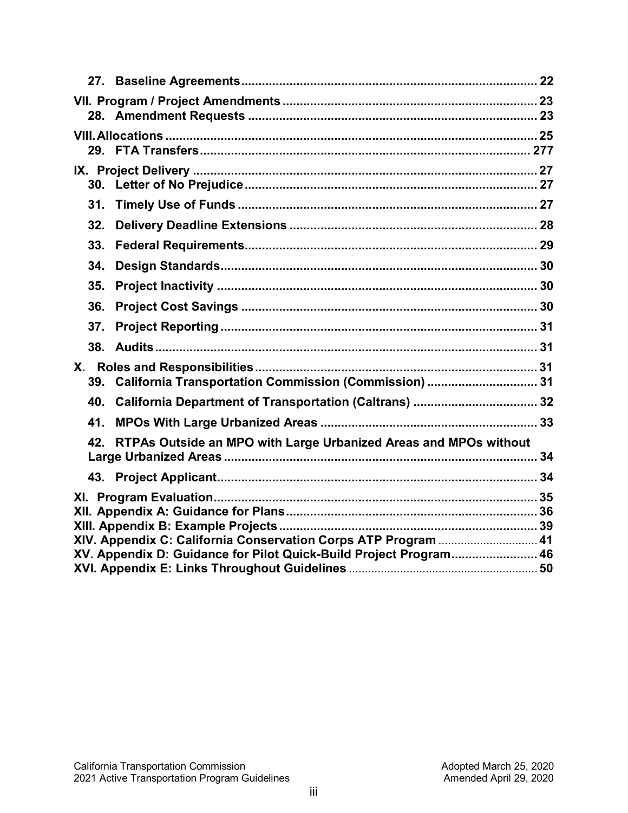| 31.                                                                     |  |  |  |  |  |
|-------------------------------------------------------------------------|--|--|--|--|--|
| 32.                                                                     |  |  |  |  |  |
| 33.                                                                     |  |  |  |  |  |
| 34.                                                                     |  |  |  |  |  |
| 35.                                                                     |  |  |  |  |  |
| 36.                                                                     |  |  |  |  |  |
| 37.                                                                     |  |  |  |  |  |
|                                                                         |  |  |  |  |  |
| 39. California Transportation Commission (Commission)  31               |  |  |  |  |  |
|                                                                         |  |  |  |  |  |
| 41.                                                                     |  |  |  |  |  |
| RTPAs Outside an MPO with Large Urbanized Areas and MPOs without<br>42. |  |  |  |  |  |
|                                                                         |  |  |  |  |  |
|                                                                         |  |  |  |  |  |
| XIV. Appendix C: California Conservation Corps ATP Program  41          |  |  |  |  |  |
| XV. Appendix D: Guidance for Pilot Quick-Build Project Program 46       |  |  |  |  |  |
|                                                                         |  |  |  |  |  |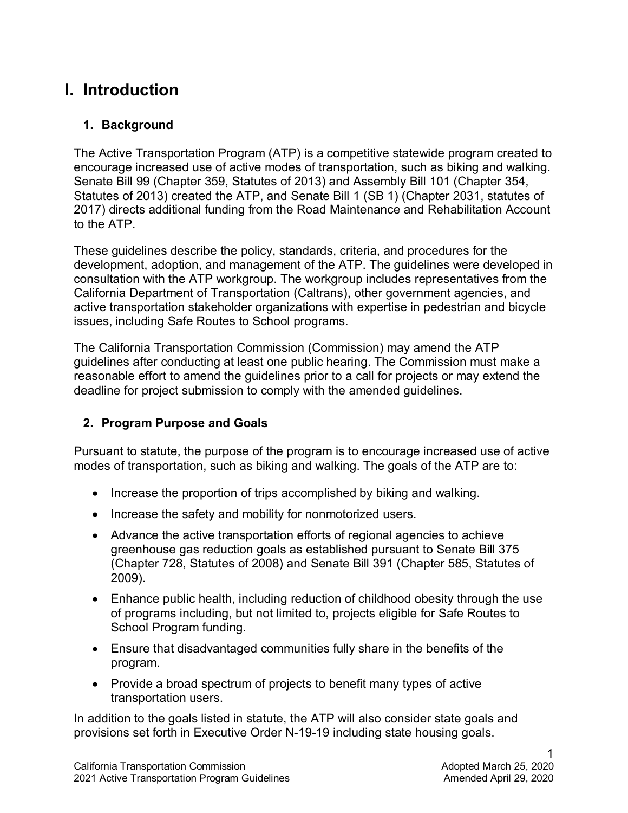## **I. Introduction**

### **1. Background**

The Active Transportation Program (ATP) is a competitive statewide program created to encourage increased use of active modes of transportation, such as biking and walking. Senate Bill 99 (Chapter 359, Statutes of 2013) and Assembly Bill 101 (Chapter 354, Statutes of 2013) created the ATP, and Senate Bill 1 (SB 1) (Chapter 2031, statutes of 2017) directs additional funding from the Road Maintenance and Rehabilitation Account to the ATP.

These guidelines describe the policy, standards, criteria, and procedures for the development, adoption, and management of the ATP. The guidelines were developed in consultation with the ATP workgroup. The workgroup includes representatives from the California Department of Transportation (Caltrans), other government agencies, and active transportation stakeholder organizations with expertise in pedestrian and bicycle issues, including Safe Routes to School programs.

The California Transportation Commission (Commission) may amend the ATP guidelines after conducting at least one public hearing. The Commission must make a reasonable effort to amend the guidelines prior to a call for projects or may extend the deadline for project submission to comply with the amended guidelines.

## **2. Program Purpose and Goals**

 modes of transportation, such as biking and walking. The goals of the ATP are to: Pursuant to statute, the purpose of the program is to encourage increased use of active

- Increase the proportion of trips accomplished by biking and walking.
- Increase the safety and mobility for nonmotorized users.
- Advance the active transportation efforts of regional agencies to achieve greenhouse gas reduction goals as established pursuant to Senate Bill 375 (Chapter 728, Statutes of 2008) and Senate Bill 391 (Chapter 585, Statutes of 2009).
- Enhance public health, including reduction of childhood obesity through the use of programs including, but not limited to, projects eligible for Safe Routes to School Program funding.
- Ensure that disadvantaged communities fully share in the benefits of the program.
- transportation users. • Provide a broad spectrum of projects to benefit many types of active

In addition to the goals listed in statute, the ATP will also consider state goals and provisions set forth in Executive Order N-19-19 including state housing goals.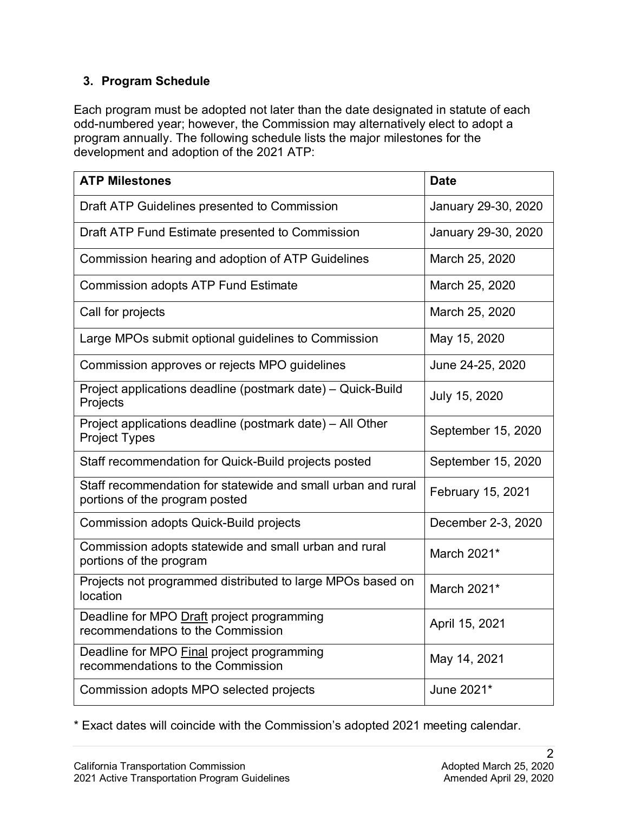### **3. Program Schedule**

Each program must be adopted not later than the date designated in statute of each odd-numbered year; however, the Commission may alternatively elect to adopt a program annually. The following schedule lists the major milestones for the development and adoption of the 2021 ATP:

| <b>ATP Milestones</b>                                                                          | <b>Date</b>         |  |
|------------------------------------------------------------------------------------------------|---------------------|--|
| Draft ATP Guidelines presented to Commission                                                   | January 29-30, 2020 |  |
| Draft ATP Fund Estimate presented to Commission                                                | January 29-30, 2020 |  |
| Commission hearing and adoption of ATP Guidelines                                              | March 25, 2020      |  |
| <b>Commission adopts ATP Fund Estimate</b>                                                     | March 25, 2020      |  |
| Call for projects                                                                              | March 25, 2020      |  |
| Large MPOs submit optional guidelines to Commission                                            | May 15, 2020        |  |
| Commission approves or rejects MPO guidelines                                                  | June 24-25, 2020    |  |
| Project applications deadline (postmark date) - Quick-Build<br>Projects                        | July 15, 2020       |  |
| Project applications deadline (postmark date) - All Other<br><b>Project Types</b>              | September 15, 2020  |  |
| Staff recommendation for Quick-Build projects posted                                           | September 15, 2020  |  |
| Staff recommendation for statewide and small urban and rural<br>portions of the program posted | February 15, 2021   |  |
| <b>Commission adopts Quick-Build projects</b>                                                  | December 2-3, 2020  |  |
| Commission adopts statewide and small urban and rural<br>portions of the program               | March 2021*         |  |
| Projects not programmed distributed to large MPOs based on<br>location                         | March 2021*         |  |
| Deadline for MPO Draft project programming<br>recommendations to the Commission                | April 15, 2021      |  |
| Deadline for MPO Final project programming<br>recommendations to the Commission                | May 14, 2021        |  |
| Commission adopts MPO selected projects                                                        | June 2021*          |  |

\* Exact dates will coincide with the Commission's adopted 2021 meeting calendar.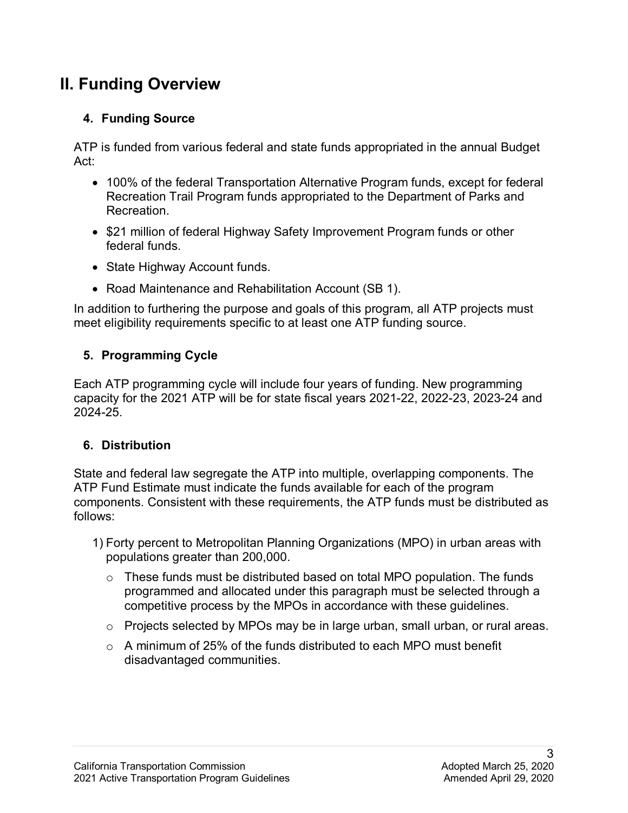## **II. Funding Overview**

## **4. Funding Source**

ATP is funded from various federal and state funds appropriated in the annual Budget Act:

- 100% of the federal Transportation Alternative Program funds, except for federal Recreation Trail Program funds appropriated to the Department of Parks and **Recreation**
- \$21 million of federal Highway Safety Improvement Program funds or other federal funds.
- State Highway Account funds.
- Road Maintenance and Rehabilitation Account (SB 1).

In addition to furthering the purpose and goals of this program, all ATP projects must meet eligibility requirements specific to at least one ATP funding source.

## **5. Programming Cycle**

Each ATP programming cycle will include four years of funding. New programming capacity for the 2021 ATP will be for state fiscal years 2021-22, 2022-23, 2023-24 and 2024-25.

### **6. Distribution**

 ATP Fund Estimate must indicate the funds available for each of the program State and federal law segregate the ATP into multiple, overlapping components. The components. Consistent with these requirements, the ATP funds must be distributed as follows:

- 1) Forty percent to Metropolitan Planning Organizations (MPO) in urban areas with populations greater than 200,000.
	- $\circ$  These funds must be distributed based on total MPO population. The funds programmed and allocated under this paragraph must be selected through a competitive process by the MPOs in accordance with these guidelines.
	- $\circ$  Projects selected by MPOs may be in large urban, small urban, or rural areas.
	- $\circ$  A minimum of 25% of the funds distributed to each MPO must benefit disadvantaged communities.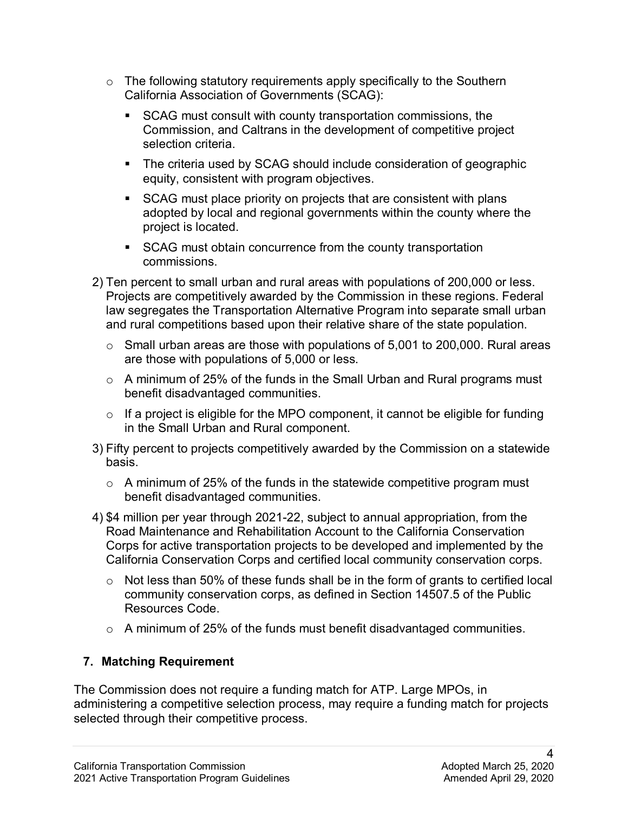- $\circ$  The following statutory requirements apply specifically to the Southern California Association of Governments (SCAG):
	- SCAG must consult with county transportation commissions, the Commission, and Caltrans in the development of competitive project selection criteria.
	- The criteria used by SCAG should include consideration of geographic equity, consistent with program objectives.
	- SCAG must place priority on projects that are consistent with plans adopted by local and regional governments within the county where the project is located.
	- SCAG must obtain concurrence from the county transportation commissions.
- 2) Ten percent to small urban and rural areas with populations of 200,000 or less. Projects are competitively awarded by the Commission in these regions. Federal law segregates the Transportation Alternative Program into separate small urban and rural competitions based upon their relative share of the state population.
	- are those with populations of 5,000 or less.  $\circ$  Small urban areas are those with populations of 5,001 to 200,000. Rural areas
	- $\circ$  A minimum of 25% of the funds in the Small Urban and Rural programs must benefit disadvantaged communities.
	- $\circ$  If a project is eligible for the MPO component, it cannot be eligible for funding in the Small Urban and Rural component.
- 3) Fifty percent to projects competitively awarded by the Commission on a statewide basis.
	- $\circ$  A minimum of 25% of the funds in the statewide competitive program must benefit disadvantaged communities.
- 4) \$4 million per year through 2021-22, subject to annual appropriation, from the Road Maintenance and Rehabilitation Account to the California Conservation Corps for active transportation projects to be developed and implemented by the California Conservation Corps and certified local community conservation corps.
	- Resources Code. o Not less than 50% of these funds shall be in the form of grants to certified local community conservation corps, as defined in Section 14507.5 of the Public
	- $\circ$  A minimum of 25% of the funds must benefit disadvantaged communities.

### **7. Matching Requirement**

The Commission does not require a funding match for ATP. Large MPOs, in administering a competitive selection process, may require a funding match for projects selected through their competitive process.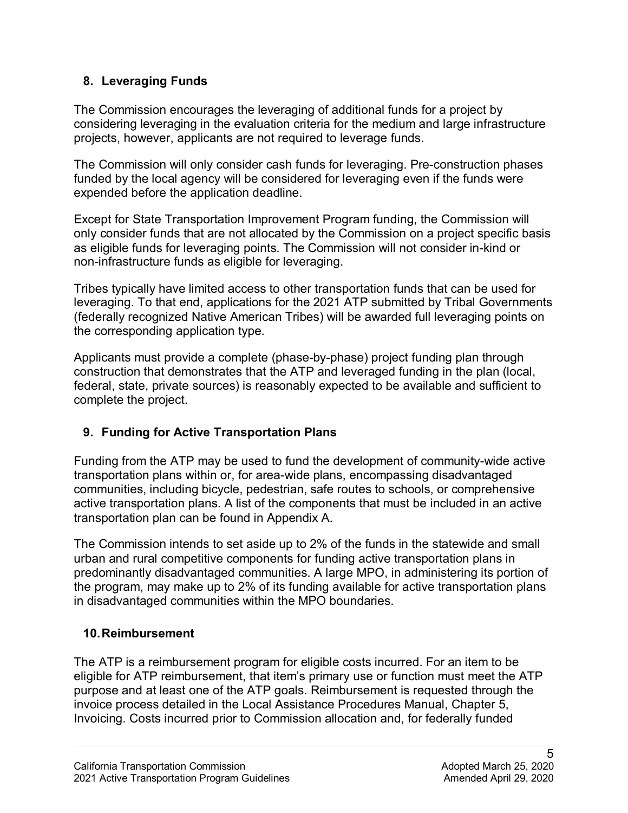### **8. Leveraging Funds**

 projects, however, applicants are not required to leverage funds. The Commission encourages the leveraging of additional funds for a project by considering leveraging in the evaluation criteria for the medium and large infrastructure

The Commission will only consider cash funds for leveraging. Pre-construction phases funded by the local agency will be considered for leveraging even if the funds were expended before the application deadline.

 non-infrastructure funds as eligible for leveraging. Except for State Transportation Improvement Program funding, the Commission will only consider funds that are not allocated by the Commission on a project specific basis as eligible funds for leveraging points. The Commission will not consider in-kind or

Tribes typically have limited access to other transportation funds that can be used for leveraging. To that end, applications for the 2021 ATP submitted by Tribal Governments (federally recognized Native American Tribes) will be awarded full leveraging points on the corresponding application type.

 construction that demonstrates that the ATP and leveraged funding in the plan (local, Applicants must provide a complete (phase-by-phase) project funding plan through federal, state, private sources) is reasonably expected to be available and sufficient to complete the project.

## **9. Funding for Active Transportation Plans**

 Funding from the ATP may be used to fund the development of community-wide active transportation plans within or, for area-wide plans, encompassing disadvantaged communities, including bicycle, pedestrian, safe routes to schools, or comprehensive transportation plan can be found in Appendix A. active transportation plans. A list of the components that must be included in an active

 urban and rural competitive components for funding active transportation plans in predominantly disadvantaged communities. A large MPO, in administering its portion of the program, may make up to 2% of its funding available for active transportation plans The Commission intends to set aside up to 2% of the funds in the statewide and small in disadvantaged communities within the MPO boundaries.

### **10.Reimbursement**

 invoice process detailed in the Local Assistance Procedures Manual, Chapter 5, The ATP is a reimbursement program for eligible costs incurred. For an item to be eligible for ATP reimbursement, that item's primary use or function must meet the ATP purpose and at least one of the ATP goals. Reimbursement is requested through the Invoicing. Costs incurred prior to Commission allocation and, for federally funded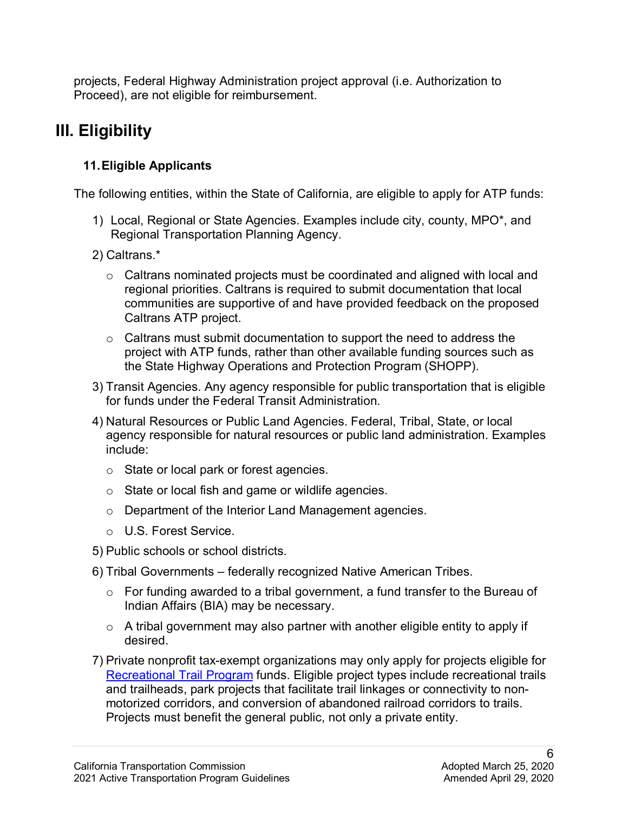projects, Federal Highway Administration project approval (i.e. Authorization to Proceed), are not eligible for reimbursement.

## **III. Eligibility**

## **11.Eligible Applicants**

The following entities, within the State of California, are eligible to apply for ATP funds:

- 1) Local, Regional or State Agencies. Examples include city, county, MPO\*, and Regional Transportation Planning Agency.
- 2) Caltrans.\*
	- regional priorities. Caltrans is required to submit documentation that local  $\circ$  Caltrans nominated projects must be coordinated and aligned with local and communities are supportive of and have provided feedback on the proposed Caltrans ATP project.
	- project with ATP funds, rather than other available funding sources such as  $\circ$  Caltrans must submit documentation to support the need to address the the State Highway Operations and Protection Program (SHOPP).
- 3) Transit Agencies. Any agency responsible for public transportation that is eligible for funds under the Federal Transit Administration.
- for funds under the Federal Transit Administration. 4) Natural Resources or Public Land Agencies. Federal, Tribal, State, or local agency responsible for natural resources or public land administration. Examples include:
	- $\circ$  State or local park or forest agencies.
	- o State or local fish and game or wildlife agencies.
	- o Department of the Interior Land Management agencies.
	- o U.S. Forest Service.
- 5) Public schools or school districts.
- 6) Tribal Governments federally recognized Native American Tribes.
	- o For funding awarded to a tribal government, a fund transfer to the Bureau of Indian Affairs (BIA) may be necessary.
	- $\circ$  A tribal government may also partner with another eligible entity to apply if desired.
- Projects must benefit the general public, not only a private entity.<br>California Transportation Commission Adopted March 25, 2020 7) Private nonprofit tax-exempt organizations may only apply for projects eligible for [Recreational Trail Program](http://www.fhwa.dot.gov/environment/recreational_trails/) funds. Eligible project types include recreational trails and trailheads, park projects that facilitate trail linkages or connectivity to nonmotorized corridors, and conversion of abandoned railroad corridors to trails.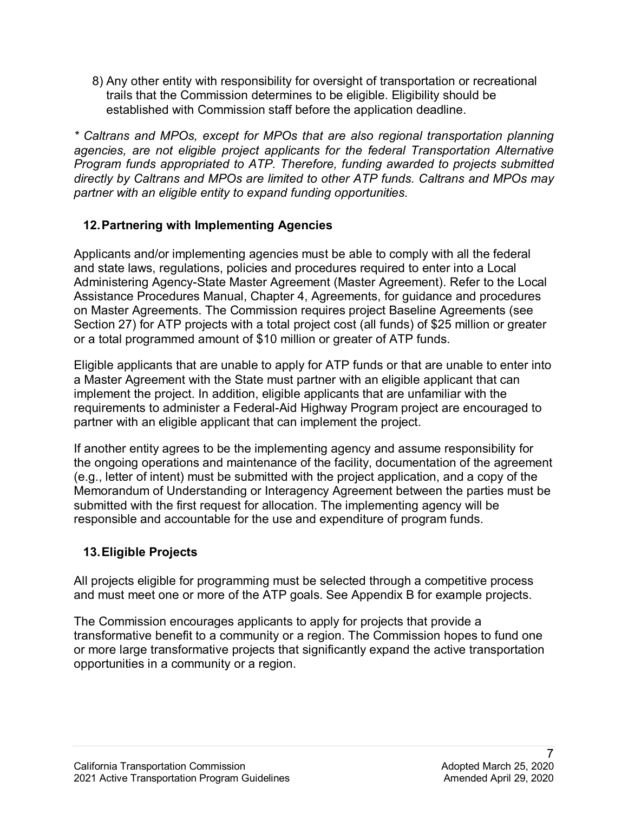8) Any other entity with responsibility for oversight of transportation or recreational trails that the Commission determines to be eligible. Eligibility should be established with Commission staff before the application deadline.

 *directly by Caltrans and MPOs are limited to other ATP funds. Caltrans and MPOs may partner with an eligible entity to expand funding opportunities. \* Caltrans and MPOs, except for MPOs that are also regional transportation planning agencies, are not eligible project applicants for the federal Transportation Alternative Program funds appropriated to ATP. Therefore, funding awarded to projects submitted* 

## **12.Partnering with Implementing Agencies**

 Applicants and/or implementing agencies must be able to comply with all the federal Section 27) for ATP projects with a total project cost (all funds) of \$25 million or greater and state laws, regulations, policies and procedures required to enter into a Local Administering Agency-State Master Agreement (Master Agreement). Refer to the Local Assistance Procedures Manual, Chapter 4, Agreements, for guidance and procedures on Master Agreements. The Commission requires project Baseline Agreements (see or a total programmed amount of \$10 million or greater of ATP funds.

Eligible applicants that are unable to apply for ATP funds or that are unable to enter into a Master Agreement with the State must partner with an eligible applicant that can implement the project. In addition, eligible applicants that are unfamiliar with the requirements to administer a Federal-Aid Highway Program project are encouraged to partner with an eligible applicant that can implement the project.

 responsible and accountable for the use and expenditure of program funds. If another entity agrees to be the implementing agency and assume responsibility for the ongoing operations and maintenance of the facility, documentation of the agreement (e.g., letter of intent) must be submitted with the project application, and a copy of the Memorandum of Understanding or Interagency Agreement between the parties must be submitted with the first request for allocation. The implementing agency will be

## **13.Eligible Projects**

All projects eligible for programming must be selected through a competitive process and must meet one or more of the ATP goals. See Appendix B for example projects.

The Commission encourages applicants to apply for projects that provide a transformative benefit to a community or a region. The Commission hopes to fund one or more large transformative projects that significantly expand the active transportation opportunities in a community or a region.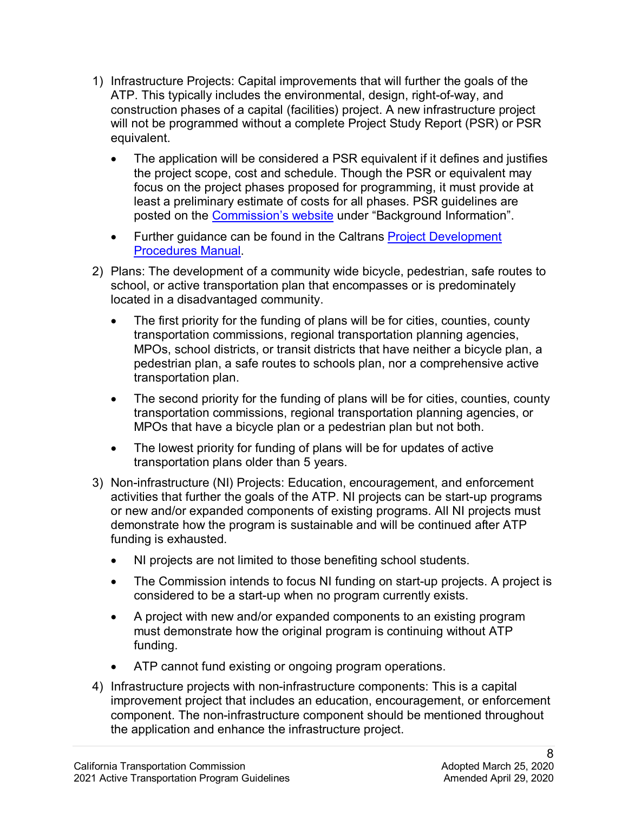- construction phases of a capital (facilities) project. A new infrastructure project will not be programmed without a complete Project Study Report (PSR) or PSR equivalent. 1) Infrastructure Projects: Capital improvements that will further the goals of the ATP. This typically includes the environmental, design, right-of-way, and
	- • The application will be considered a PSR equivalent if it defines and justifies the project scope, cost and schedule. Though the PSR or equivalent may focus on the project phases proposed for programming, it must provide at least a preliminary estimate of costs for all phases. PSR guidelines are posted on the [Commission's website](https://catc.ca.gov/programs/state-transportation-improvement-program) under "Background Information".
	- Further guidance can be found in the Caltrans **Project Development**
- located in a disadvantaged community. <u>Procedures Manual</u>.<br>2) Plans: The development of a community wide bicycle, pedestrian, safe routes to school, or active transportation plan that encompasses or is predominately
	- MPOs, school districts, or transit districts that have neither a bicycle plan, a pedestrian plan, a safe routes to schools plan, nor a comprehensive active • The first priority for the funding of plans will be for cities, counties, county transportation commissions, regional transportation planning agencies, transportation plan.
	- MPOs that have a bicycle plan or a pedestrian plan but not both. • The second priority for the funding of plans will be for cities, counties, county transportation commissions, regional transportation planning agencies, or
	- The lowest priority for funding of plans will be for updates of active transportation plans older than 5 years.
- activities that further the goals of the ATP. NI projects can be start-up programs 3) Non-infrastructure (NI) Projects: Education, encouragement, and enforcement or new and/or expanded components of existing programs. All NI projects must demonstrate how the program is sustainable and will be continued after ATP funding is exhausted.
	- $\bullet$ • NI projects are not limited to those benefiting school students.
	- The Commission intends to focus NI funding on start-up projects. A project is considered to be a start-up when no program currently exists.
	- A project with new and/or expanded components to an existing program must demonstrate how the original program is continuing without ATP funding.
	- ATP cannot fund existing or ongoing program operations.
- 4) Infrastructure projects with non-infrastructure components: This is a capital improvement project that includes an education, encouragement, or enforcement component. The non-infrastructure component should be mentioned throughout the application and enhance the infrastructure project.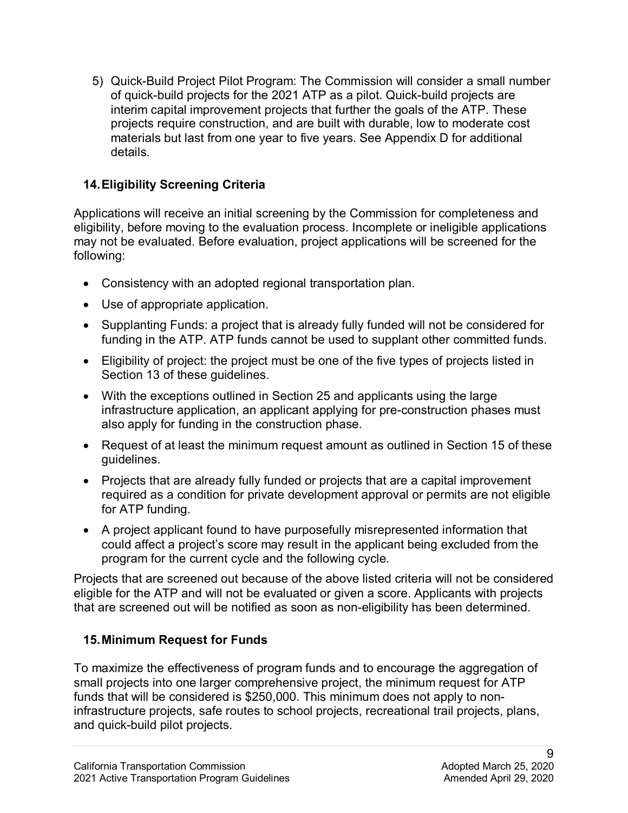5) Quick-Build Project Pilot Program: The Commission will consider a small number of quick-build projects for the 2021 ATP as a pilot. Quick-build projects are interim capital improvement projects that further the goals of the ATP. These projects require construction, and are built with durable, low to moderate cost materials but last from one year to five years. See Appendix D for additional details.

### **14.Eligibility Screening Criteria**

Applications will receive an initial screening by the Commission for completeness and eligibility, before moving to the evaluation process. Incomplete or ineligible applications may not be evaluated. Before evaluation, project applications will be screened for the following:

- Consistency with an adopted regional transportation plan.
- Use of appropriate application.
- • Supplanting Funds: a project that is already fully funded will not be considered for funding in the ATP. ATP funds cannot be used to supplant other committed funds.
- Eligibility of project: the project must be one of the five types of projects listed in Section 13 of these guidelines.
- With the exceptions outlined in Section 25 and applicants using the large infrastructure application, an applicant applying for pre-construction phases must also apply for funding in the construction phase.
- • Request of at least the minimum request amount as outlined in Section 15 of these guidelines.
- • Projects that are already fully funded or projects that are a capital improvement required as a condition for private development approval or permits are not eligible for ATP funding.
- A project applicant found to have purposefully misrepresented information that could affect a project's score may result in the applicant being excluded from the program for the current cycle and the following cycle.

Projects that are screened out because of the above listed criteria will not be considered eligible for the ATP and will not be evaluated or given a score. Applicants with projects that are screened out will be notified as soon as non-eligibility has been determined.

### **15.Minimum Request for Funds**

To maximize the effectiveness of program funds and to encourage the aggregation of small projects into one larger comprehensive project, the minimum request for ATP funds that will be considered is \$250,000. This minimum does not apply to noninfrastructure projects, safe routes to school projects, recreational trail projects, plans, and quick-build pilot projects.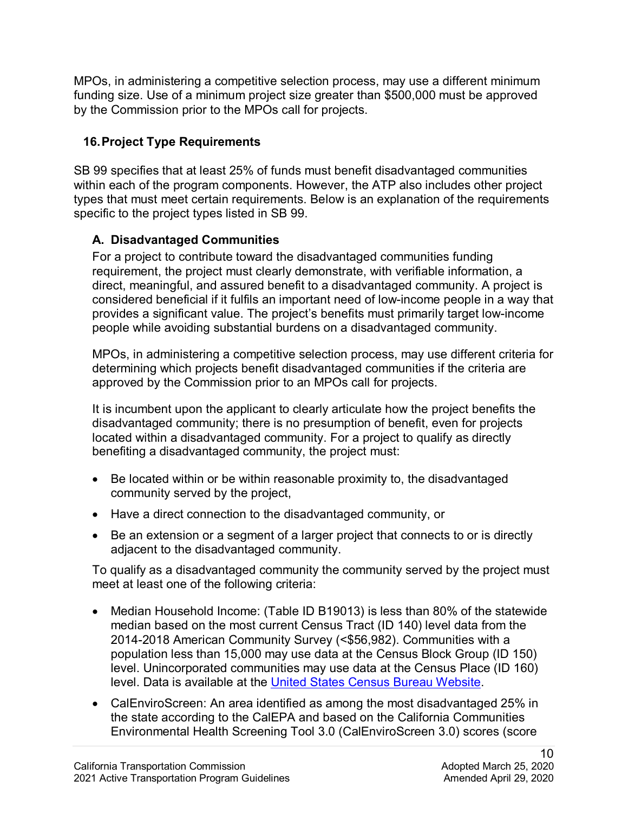MPOs, in administering a competitive selection process, may use a different minimum funding size. Use of a minimum project size greater than \$500,000 must be approved by the Commission prior to the MPOs call for projects.

## **16.Project Type Requirements**

 SB 99 specifies that at least 25% of funds must benefit disadvantaged communities within each of the program components. However, the ATP also includes other project specific to the project types listed in SB 99. types that must meet certain requirements. Below is an explanation of the requirements

## **A. Disadvantaged Communities**

 considered beneficial if it fulfils an important need of low-income people in a way that provides a significant value. The project's benefits must primarily target low-income For a project to contribute toward the disadvantaged communities funding requirement, the project must clearly demonstrate, with verifiable information, a direct, meaningful, and assured benefit to a disadvantaged community. A project is people while avoiding substantial burdens on a disadvantaged community.

MPOs, in administering a competitive selection process, may use different criteria for determining which projects benefit disadvantaged communities if the criteria are approved by the Commission prior to an MPOs call for projects.

 benefiting a disadvantaged community, the project must: It is incumbent upon the applicant to clearly articulate how the project benefits the disadvantaged community; there is no presumption of benefit, even for projects located within a disadvantaged community. For a project to qualify as directly

- • Be located within or be within reasonable proximity to, the disadvantaged community served by the project,
- Have a direct connection to the disadvantaged community, or
- Be an extension or a segment of a larger project that connects to or is directly adjacent to the disadvantaged community.

 To qualify as a disadvantaged community the community served by the project must meet at least one of the following criteria:

- Median Household Income: (Table ID B19013) is less than 80% of the statewide median based on the most current Census Tract (ID 140) level data from the 2014-2018 American Community Survey (<\$56,982). Communities with a population less than 15,000 may use data at the Census Block Group (ID 150) level. Unincorporated communities may use data at the Census Place (ID 160) level. Data is available at the [United States Census Bureau Website.](https://data.census.gov/cedsci/?intcmp=aff_cedsci_banner)
- Environmental Health Screening Tool 3.0 (CalEnviroScreen 3.0) scores (score • CalEnviroScreen: An area identified as among the most disadvantaged 25% in the state according to the CalEPA and based on the California Communities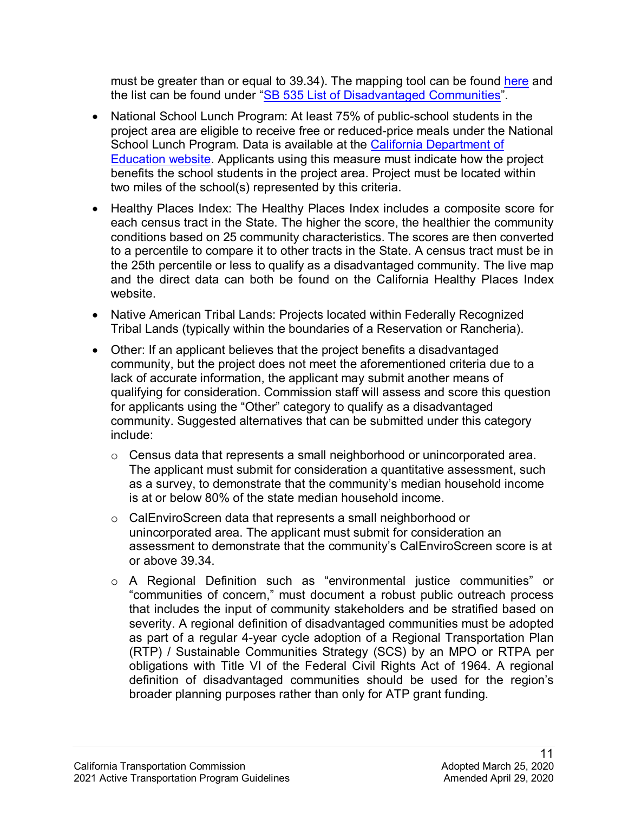must be greater than or equal to 39.34). The mapping tool can be found [here](http://oehha.maps.arcgis.com/apps/View/index.html?appid=c3e4e4e1d115468390cf61d9db83efc4) and the list can be found under ["SB 535 List of Disadvantaged Communities"](http://www.calepa.ca.gov/EnvJustice/GHGInvest/).

- two miles of the school(s) represented by this criteria. • National School Lunch Program: At least 75% of public-school students in the project area are eligible to receive free or reduced-price meals under the National School Lunch Program. Data is available at the [California Department of](http://www.cde.ca.gov/ds/sd/sd/filessp.asp)  **[Education website.](http://www.cde.ca.gov/ds/sd/sd/filessp.asp)** Applicants using this measure must indicate how the project benefits the school students in the project area. Project must be located within
- each census tract in the State. The higher the score, the healthier the community • Healthy Places Index: The Healthy Places Index includes a composite score for conditions based on 25 community characteristics. The scores are then converted to a percentile to compare it to other tracts in the State. A census tract must be in the 25th percentile or less to qualify as a disadvantaged community. The live map and the direct data can both be found on the California Healthy Places Index website.
- Native American Tribal Lands: Projects located within Federally Recognized Tribal Lands (typically within the boundaries of a Reservation or Rancheria).
- • Other: If an applicant believes that the project benefits a disadvantaged community, but the project does not meet the aforementioned criteria due to a lack of accurate information, the applicant may submit another means of qualifying for consideration. Commission staff will assess and score this question for applicants using the "Other" category to qualify as a disadvantaged community. Suggested alternatives that can be submitted under this category include:
	- $\circ$  Census data that represents a small neighborhood or unincorporated area. The applicant must submit for consideration a quantitative assessment, such as a survey, to demonstrate that the community's median household income is at or below 80% of the state median household income.
	- o CalEnviroScreen data that represents a small neighborhood or unincorporated area. The applicant must submit for consideration an assessment to demonstrate that the community's CalEnviroScreen score is at or above 39.34.
	- (RTP) / Sustainable Communities Strategy (SCS) by an MPO or RTPA per o A Regional Definition such as "environmental justice communities" or "communities of concern," must document a robust public outreach process that includes the input of community stakeholders and be stratified based on severity. A regional definition of disadvantaged communities must be adopted as part of a regular 4-year cycle adoption of a Regional Transportation Plan obligations with Title VI of the Federal Civil Rights Act of 1964. A regional definition of disadvantaged communities should be used for the region's broader planning purposes rather than only for ATP grant funding.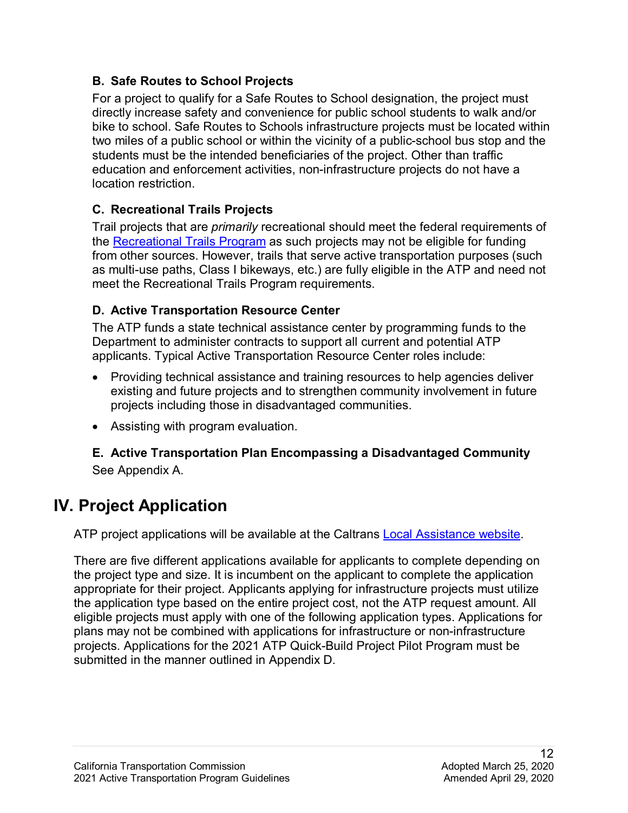## **B. Safe Routes to School Projects**

 two miles of a public school or within the vicinity of a public-school bus stop and the location restriction. For a project to qualify for a Safe Routes to School designation, the project must directly increase safety and convenience for public school students to walk and/or bike to school. Safe Routes to Schools infrastructure projects must be located within students must be the intended beneficiaries of the project. Other than traffic education and enforcement activities, non-infrastructure projects do not have a

## **C. Recreational Trails Projects**

Trail projects that are *primarily* recreational should meet the federal requirements of the [Recreational Trails Program](http://www.fhwa.dot.gov/environment/recreational_trails/) as such projects may not be eligible for funding from other sources. However, trails that serve active transportation purposes (such as multi-use paths, Class I bikeways, etc.) are fully eligible in the ATP and need not meet the Recreational Trails Program requirements.

## **D. Active Transportation Resource Center**

 The ATP funds a state technical assistance center by programming funds to the Department to administer contracts to support all current and potential ATP applicants. Typical Active Transportation Resource Center roles include:

- projects including those in disadvantaged communities. • Providing technical assistance and training resources to help agencies deliver existing and future projects and to strengthen community involvement in future
- Assisting with program evaluation.

## **E. Active Transportation Plan Encompassing a Disadvantaged Community**  See Appendix A.

## **IV. Project Application**

ATP project applications will be available at the Caltrans Local Assistance website.

ATP project applications will be available at the Caltrans <u>Local Assistance website</u>.<br>There are five different applications available for applicants to complete depending on the project type and size. It is incumbent on the applicant to complete the application eligible projects must apply with one of the following application types. Applications for submitted in the manner outlined in Appendix D. appropriate for their project. Applicants applying for infrastructure projects must utilize the application type based on the entire project cost, not the ATP request amount. All plans may not be combined with applications for infrastructure or non-infrastructure projects. Applications for the 2021 ATP Quick-Build Project Pilot Program must be submitted in the manner outlined in Appendix D.<br>12<br>California Transportation Commission Adopted March 25, 2020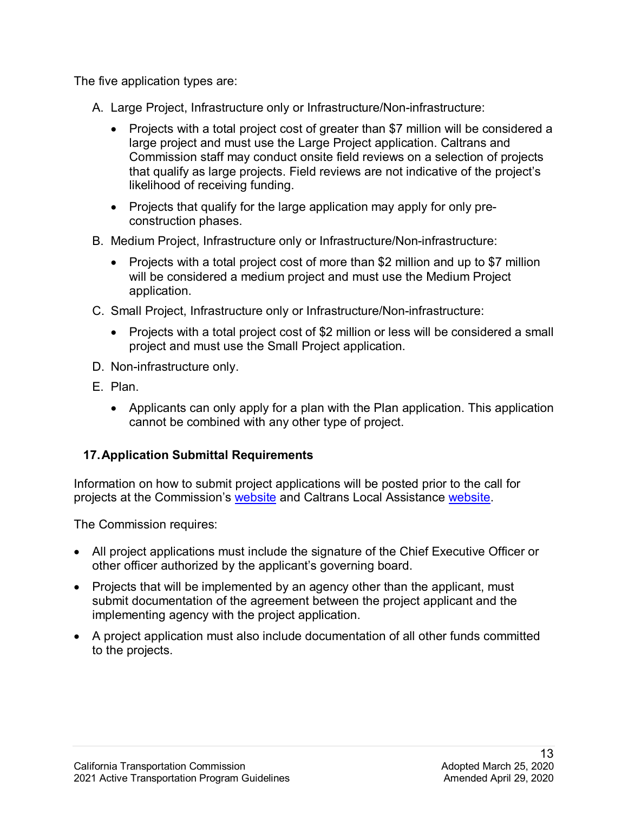The five application types are:

- A. Large Project, Infrastructure only or Infrastructure/Non-infrastructure:
	- Commission staff may conduct onsite field reviews on a selection of projects likelihood of receiving funding. • Projects with a total project cost of greater than \$7 million will be considered a large project and must use the Large Project application. Caltrans and that qualify as large projects. Field reviews are not indicative of the project's
	- construction phases. • Projects that qualify for the large application may apply for only pre-
- B. Medium Project, Infrastructure only or Infrastructure/Non-infrastructure:
	- Projects with a total project cost of more than \$2 million and up to \$7 million will be considered a medium project and must use the Medium Project application.
- C. Small Project, Infrastructure only or Infrastructure/Non-infrastructure:
	- • Projects with a total project cost of \$2 million or less will be considered a small project and must use the Small Project application.
- D. Non-infrastructure only.
- E. Plan.
	- • Applicants can only apply for a plan with the Plan application. This application cannot be combined with any other type of project.

### **17.Application Submittal Requirements**

projects at the Commission's <u>website</u> and Caltrans Local Assistance <u>website</u>.<br>The Commission requires: Information on how to submit project applications will be posted prior to the call for

- • All project applications must include the signature of the Chief Executive Officer or other officer authorized by the applicant's governing board.
- Projects that will be implemented by an agency other than the applicant, must submit documentation of the agreement between the project applicant and the implementing agency with the project application.
- A project application must also include documentation of all other funds committed to the projects.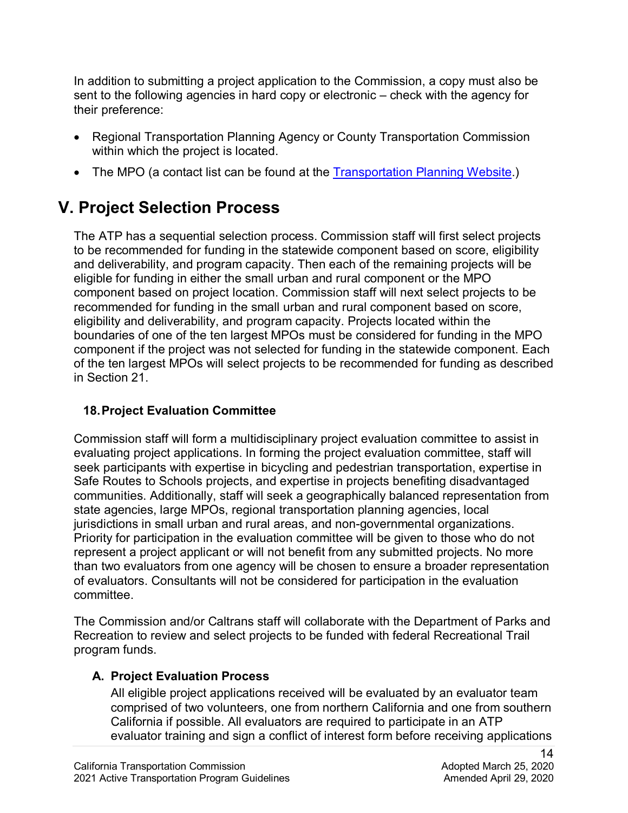sent to the following agencies in hard copy or electronic – check with the agency for In addition to submitting a project application to the Commission, a copy must also be their preference:

- • Regional Transportation Planning Agency or County Transportation Commission within which the project is located.
- The MPO (a contact list can be found at the [Transportation Planning Website.](http://www.dot.ca.gov/hq/tpp/offices/orip/))

## **V. Project Selection Process**

 eligibility and deliverability, and program capacity. Projects located within the The ATP has a sequential selection process. Commission staff will first select projects to be recommended for funding in the statewide component based on score, eligibility and deliverability, and program capacity. Then each of the remaining projects will be eligible for funding in either the small urban and rural component or the MPO component based on project location. Commission staff will next select projects to be recommended for funding in the small urban and rural component based on score, boundaries of one of the ten largest MPOs must be considered for funding in the MPO component if the project was not selected for funding in the statewide component. Each of the ten largest MPOs will select projects to be recommended for funding as described in Section 21.

## **18.Project Evaluation Committee**

Commission staff will form a multidisciplinary project evaluation committee to assist in evaluating project applications. In forming the project evaluation committee, staff will seek participants with expertise in bicycling and pedestrian transportation, expertise in Safe Routes to Schools projects, and expertise in projects benefiting disadvantaged communities. Additionally, staff will seek a geographically balanced representation from state agencies, large MPOs, regional transportation planning agencies, local jurisdictions in small urban and rural areas, and non-governmental organizations. Priority for participation in the evaluation committee will be given to those who do not represent a project applicant or will not benefit from any submitted projects. No more than two evaluators from one agency will be chosen to ensure a broader representation of evaluators. Consultants will not be considered for participation in the evaluation committee.

 Recreation to review and select projects to be funded with federal Recreational Trail program funds. The Commission and/or Caltrans staff will collaborate with the Department of Parks and

### **A. Project Evaluation Process**

All eligible project applications received will be evaluated by an evaluator team comprised of two volunteers, one from northern California and one from southern California if possible. All evaluators are required to participate in an ATP evaluator training and sign a conflict of interest form before receiving applications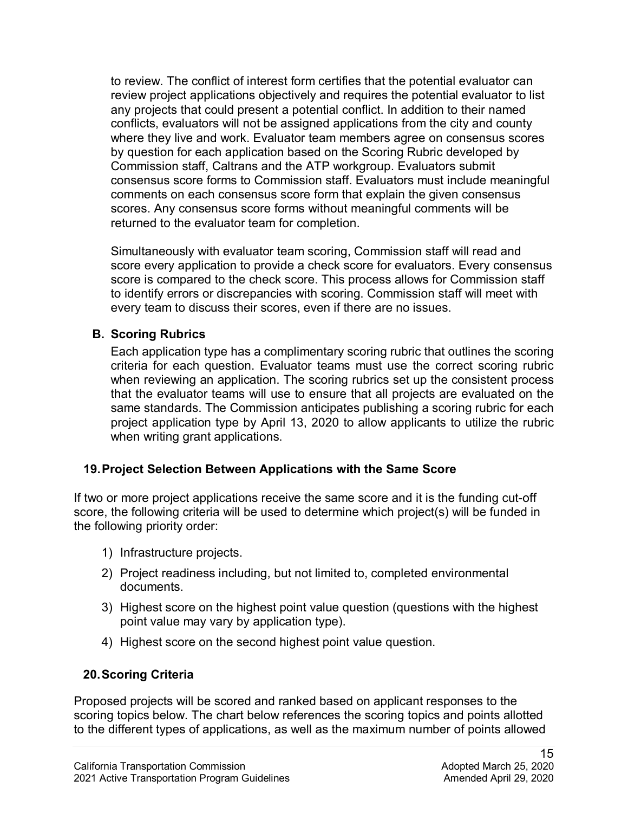to review. The conflict of interest form certifies that the potential evaluator can review project applications objectively and requires the potential evaluator to list conflicts, evaluators will not be assigned applications from the city and county where they live and work. Evaluator team members agree on consensus scores any projects that could present a potential conflict. In addition to their named by question for each application based on the Scoring Rubric developed by Commission staff, Caltrans and the ATP workgroup. Evaluators submit consensus score forms to Commission staff. Evaluators must include meaningful comments on each consensus score form that explain the given consensus scores. Any consensus score forms without meaningful comments will be returned to the evaluator team for completion.

 score every application to provide a check score for evaluators. Every consensus score is compared to the check score. This process allows for Commission staff Simultaneously with evaluator team scoring, Commission staff will read and to identify errors or discrepancies with scoring. Commission staff will meet with every team to discuss their scores, even if there are no issues.

#### **B. Scoring Rubrics**

 that the evaluator teams will use to ensure that all projects are evaluated on the same standards. The Commission anticipates publishing a scoring rubric for each Each application type has a complimentary scoring rubric that outlines the scoring criteria for each question. Evaluator teams must use the correct scoring rubric when reviewing an application. The scoring rubrics set up the consistent process project application type by April 13, 2020 to allow applicants to utilize the rubric when writing grant applications.

#### **19.Project Selection Between Applications with the Same Score**

If two or more project applications receive the same score and it is the funding cut-off score, the following criteria will be used to determine which project(s) will be funded in the following priority order:

- 1) Infrastructure projects.
- 2) Project readiness including, but not limited to, completed environmental documents.
- 3) Highest score on the highest point value question (questions with the highest point value may vary by application type).
- 4) Highest score on the second highest point value question.

#### **20.Scoring Criteria**

Proposed projects will be scored and ranked based on applicant responses to the scoring topics below. The chart below references the scoring topics and points allotted to the different types of applications, as well as the maximum number of points allowed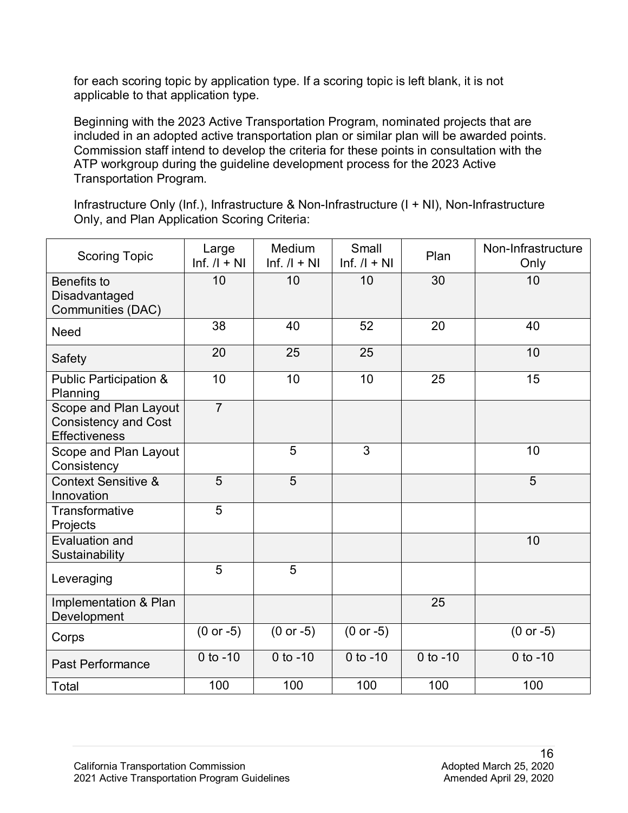for each scoring topic by application type. If a scoring topic is left blank, it is not applicable to that application type.

Beginning with the 2023 Active Transportation Program, nominated projects that are included in an adopted active transportation plan or similar plan will be awarded points. Commission staff intend to develop the criteria for these points in consultation with the ATP workgroup during the guideline development process for the 2023 Active Transportation Program.

Infrastructure Only (Inf.), Infrastructure & Non-Infrastructure (I + NI), Non-Infrastructure Only, and Plan Application Scoring Criteria:

| <b>Scoring Topic</b>                                                         | Large<br>$Inf. / I + NI$ | Medium<br>$Inf. / I + NI$ | Small<br>$Inf. / I + NI$ | Plan       | Non-Infrastructure<br>Only |
|------------------------------------------------------------------------------|--------------------------|---------------------------|--------------------------|------------|----------------------------|
| Benefits to<br>Disadvantaged<br>Communities (DAC)                            | 10                       | 10                        | 10                       | 30         | 10                         |
| <b>Need</b>                                                                  | 38                       | 40                        | 52                       | 20         | 40                         |
| Safety                                                                       | 20                       | 25                        | 25                       |            | 10                         |
| <b>Public Participation &amp;</b><br>Planning                                | 10                       | 10                        | 10                       | 25         | 15                         |
| Scope and Plan Layout<br><b>Consistency and Cost</b><br><b>Effectiveness</b> | $\overline{7}$           |                           |                          |            |                            |
| Scope and Plan Layout<br>Consistency                                         |                          | 5                         | 3                        |            | 10                         |
| <b>Context Sensitive &amp;</b><br>Innovation                                 | $\overline{5}$           | $\overline{5}$            |                          |            | $\overline{5}$             |
| Transformative<br>Projects                                                   | 5                        |                           |                          |            |                            |
| Evaluation and<br>Sustainability                                             |                          |                           |                          |            | 10                         |
| Leveraging                                                                   | 5                        | 5                         |                          |            |                            |
| Implementation & Plan<br>Development                                         |                          |                           |                          | 25         |                            |
| Corps                                                                        | $(0 or -5)$              | $(0 or -5)$               | $(0 or -5)$              |            | $(0 or -5)$                |
| <b>Past Performance</b>                                                      | $0$ to $-10$             | $0$ to $-10$              | $0$ to $-10$             | 0 to $-10$ | $0$ to $-10$               |
| Total                                                                        | 100                      | 100                       | 100                      | 100        | 100                        |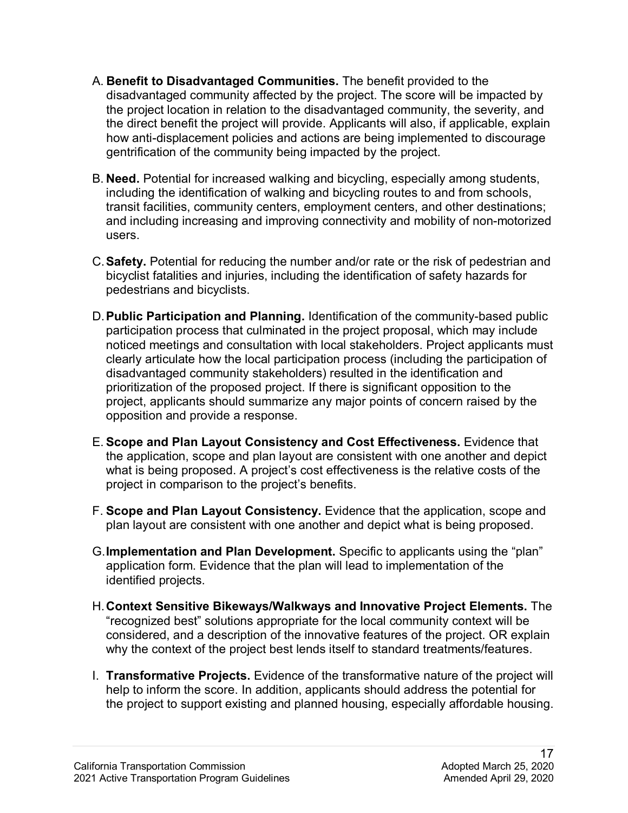- the direct benefit the project will provide. Applicants will also, if applicable, explain A. **Benefit to Disadvantaged Communities.** The benefit provided to the disadvantaged community affected by the project. The score will be impacted by the project location in relation to the disadvantaged community, the severity, and how anti-displacement policies and actions are being implemented to discourage gentrification of the community being impacted by the project.
- B. **Need.** Potential for increased walking and bicycling, especially among students, users. including the identification of walking and bicycling routes to and from schools, transit facilities, community centers, employment centers, and other destinations; and including increasing and improving connectivity and mobility of non-motorized
- users. C.**Safety.** Potential for reducing the number and/or rate or the risk of pedestrian and pedestrians and bicyclists. bicyclist fatalities and injuries, including the identification of safety hazards for
- D. Public Participation and Planning. Identification of the community-based public participation process that culminated in the project proposal, which may include noticed meetings and consultation with local stakeholders. Project applicants must clearly articulate how the local participation process (including the participation of disadvantaged community stakeholders) resulted in the identification and prioritization of the proposed project. If there is significant opposition to the project, applicants should summarize any major points of concern raised by the opposition and provide a response.
- the application, scope and plan layout are consistent with one another and depict E. **Scope and Plan Layout Consistency and Cost Effectiveness.** Evidence that what is being proposed. A project's cost effectiveness is the relative costs of the project in comparison to the project's benefits.
- F. **Scope and Plan Layout Consistency.** Evidence that the application, scope and plan layout are consistent with one another and depict what is being proposed.
- G.**Implementation and Plan Development.** Specific to applicants using the "plan" application form. Evidence that the plan will lead to implementation of the identified projects.
- why the context of the project best lends itself to standard treatments/features. H.**Context Sensitive Bikeways/Walkways and Innovative Project Elements.** The "recognized best" solutions appropriate for the local community context will be considered, and a description of the innovative features of the project. OR explain
- I. **Transformative Projects.** Evidence of the transformative nature of the project will help to inform the score. In addition, applicants should address the potential for the project to support existing and planned housing, especially affordable housing.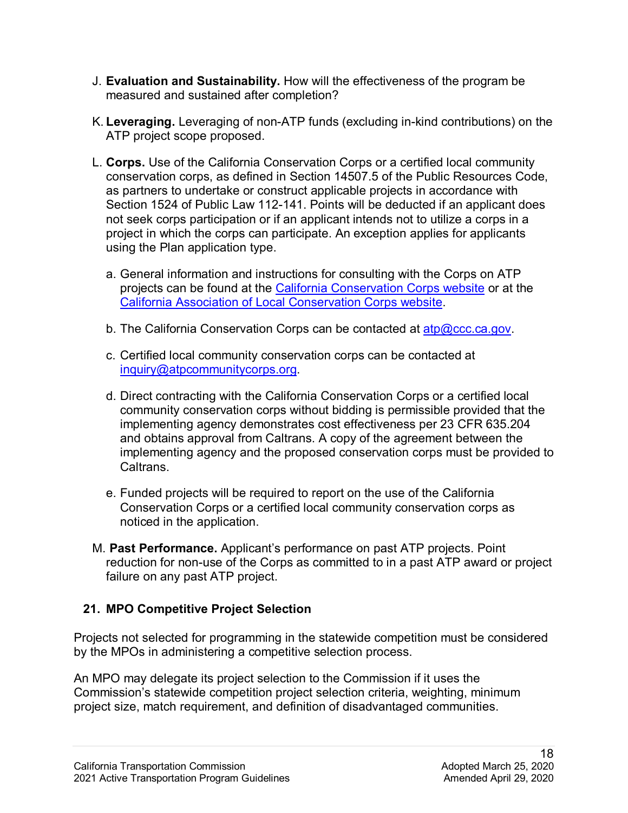- J. **Evaluation and Sustainability.** How will the effectiveness of the program be measured and sustained after completion?
- K. **Leveraging.** Leveraging of non-ATP funds (excluding in-kind contributions) on the ATP project scope proposed.
- L. **Corps.** Use of the California Conservation Corps or a certified local community Section 1524 of Public Law 112-141. Points will be deducted if an applicant does not seek corps participation or if an applicant intends not to utilize a corps in a conservation corps, as defined in Section 14507.5 of the Public Resources Code, as partners to undertake or construct applicable projects in accordance with project in which the corps can participate. An exception applies for applicants using the Plan application type.
	- a. General information and instructions for consulting with the Corps on ATP projects can be found at the [California Conservation Corps website](https://ccc.ca.gov/what-we-do/funding-opportunities/active-transportation-program/) or at the [California Association of Local Conservation Corps website.](https://mylocalcorps.org/active-transportation-program/)
	- b. The California Conservation Corps can be contacted at <u>atp@ccc.ca.gov</u>.
	- c. Certified local community conservation corps can be contacted at [inquiry@atpcommunitycorps.org.](mailto:inquiry@atpcommunitycorps.org)
	- d. Direct contracting with the California Conservation Corps or a certified local community conservation corps without bidding is permissible provided that the implementing agency demonstrates cost effectiveness per 23 CFR 635.204 and obtains approval from Caltrans. A copy of the agreement between the implementing agency and the proposed conservation corps must be provided to Caltrans.
	- e. Funded projects will be required to report on the use of the California Conservation Corps or a certified local community conservation corps as noticed in the application.
- M. **Past Performance.** Applicant's performance on past ATP projects. Point reduction for non-use of the Corps as committed to in a past ATP award or project failure on any past ATP project.

## **21. MPO Competitive Project Selection**

by the MPOs in administering a competitive selection process. Projects not selected for programming in the statewide competition must be considered

by the MPOs in administering a competitive selection process.<br>An MPO may delegate its project selection to the Commission if it uses the Commission's statewide competition project selection criteria, weighting, minimum project size, match requirement, and definition of disadvantaged communities.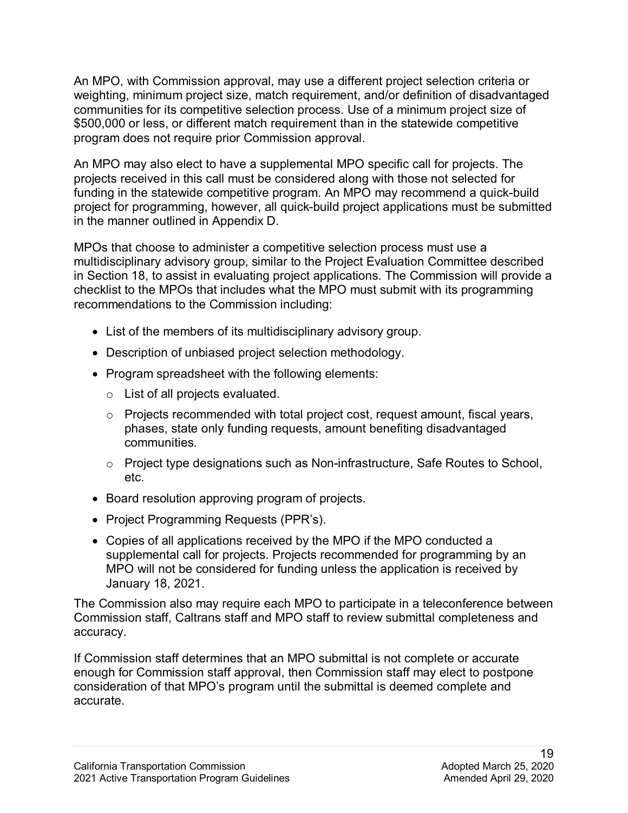An MPO, with Commission approval, may use a different project selection criteria or weighting, minimum project size, match requirement, and/or definition of disadvantaged communities for its competitive selection process. Use of a minimum project size of \$500,000 or less, or different match requirement than in the statewide competitive program does not require prior Commission approval.

An MPO may also elect to have a supplemental MPO specific call for projects. The projects received in this call must be considered along with those not selected for funding in the statewide competitive program. An MPO may recommend a quick-build project for programming, however, all quick-build project applications must be submitted in the manner outlined in Appendix D.

MPOs that choose to administer a competitive selection process must use a multidisciplinary advisory group, similar to the Project Evaluation Committee described in Section 18, to assist in evaluating project applications. The Commission will provide a checklist to the MPOs that includes what the MPO must submit with its programming recommendations to the Commission including:

- List of the members of its multidisciplinary advisory group.
- Description of unbiased project selection methodology.
- Program spreadsheet with the following elements:
	- o List of all projects evaluated.
	- $\circ$  Projects recommended with total project cost, request amount, fiscal years, communities. phases, state only funding requests, amount benefiting disadvantaged
	- $\circ$  Project type designations such as Non-infrastructure, Safe Routes to School, etc.
- Board resolution approving program of projects.
- Project Programming Requests (PPR's).
- Copies of all applications received by the MPO if the MPO conducted a supplemental call for projects. Projects recommended for programming by an MPO will not be considered for funding unless the application is received by January 18, 2021.

accuracy. The Commission also may require each MPO to participate in a teleconference between Commission staff, Caltrans staff and MPO staff to review submittal completeness and

If Commission staff determines that an MPO submittal is not complete or accurate enough for Commission staff approval, then Commission staff may elect to postpone consideration of that MPO's program until the submittal is deemed complete and accurate.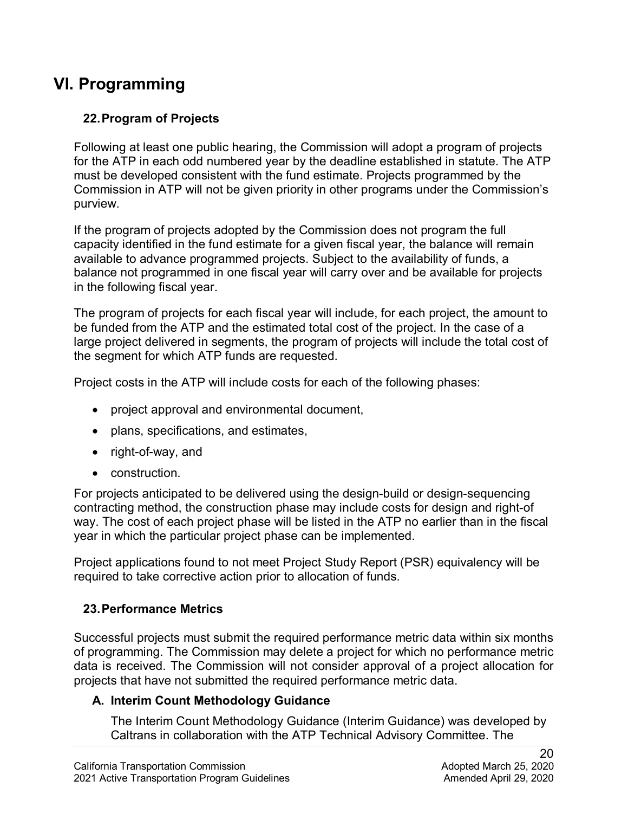## **VI. Programming**

## **22.Program of Projects**

 for the ATP in each odd numbered year by the deadline established in statute. The ATP Commission in ATP will not be given priority in other programs under the Commission's Following at least one public hearing, the Commission will adopt a program of projects must be developed consistent with the fund estimate. Projects programmed by the purview.

If the program of projects adopted by the Commission does not program the full capacity identified in the fund estimate for a given fiscal year, the balance will remain available to advance programmed projects. Subject to the availability of funds, a balance not programmed in one fiscal year will carry over and be available for projects in the following fiscal year.

 The program of projects for each fiscal year will include, for each project, the amount to large project delivered in segments, the program of projects will include the total cost of be funded from the ATP and the estimated total cost of the project. In the case of a the segment for which ATP funds are requested.

Project costs in the ATP will include costs for each of the following phases:

- project approval and environmental document,
- plans, specifications, and estimates,
- right-of-way, and
- construction.

 way. The cost of each project phase will be listed in the ATP no earlier than in the fiscal year in which the particular project phase can be implemented. For projects anticipated to be delivered using the design-build or design-sequencing contracting method, the construction phase may include costs for design and right-of

Project applications found to not meet Project Study Report (PSR) equivalency will be required to take corrective action prior to allocation of funds.

#### **23.Performance Metrics**

 Successful projects must submit the required performance metric data within six months of programming. The Commission may delete a project for which no performance metric data is received. The Commission will not consider approval of a project allocation for projects that have not submitted the required performance metric data.

#### **A. Interim Count Methodology Guidance**

The Interim Count Methodology Guidance (Interim Guidance) was developed by Caltrans in collaboration with the ATP Technical Advisory Committee. The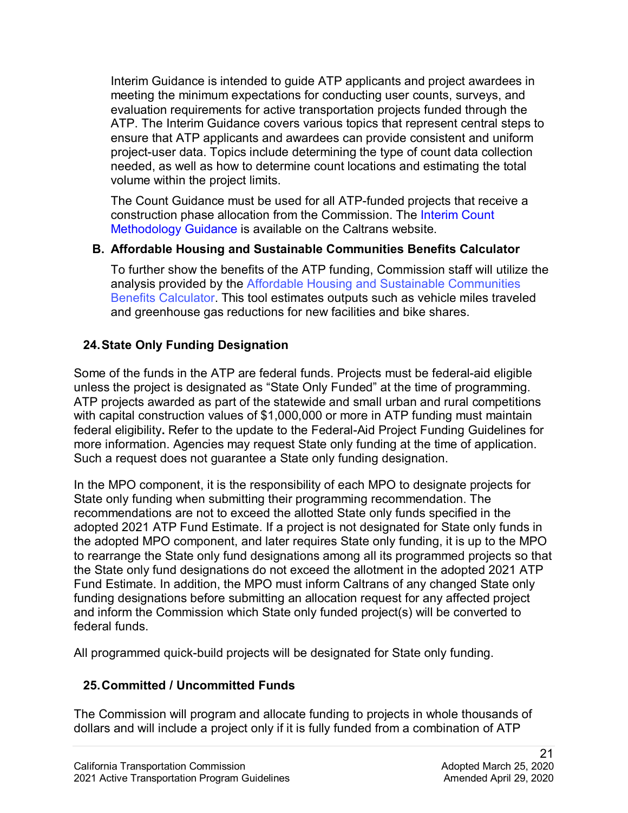project-user data. Topics include determining the type of count data collection Interim Guidance is intended to guide ATP applicants and project awardees in meeting the minimum expectations for conducting user counts, surveys, and evaluation requirements for active transportation projects funded through the ATP. The Interim Guidance covers various topics that represent central steps to ensure that ATP applicants and awardees can provide consistent and uniform needed, as well as how to determine count locations and estimating the total volume within the project limits.

 The Count Guidance must be used for all ATP-funded projects that receive a construction phase allocation from the Commission. The [Interim Count](https://dot.ca.gov/programs/local-assistance/fed-and-state-programs/active-transportation-program/general-and-technical-information)  [Methodology Guidance](https://dot.ca.gov/programs/local-assistance/fed-and-state-programs/active-transportation-program/general-and-technical-information) is available on the Caltrans website.

#### **B. Affordable Housing and Sustainable Communities Benefits Calculator**

To further show the benefits of the ATP funding, Commission staff will utilize the analysis provided by the [Affordable Housing and Sustainable Communities](https://catc.ca.gov/-/media/ctc-media/documents/programs/atp/2020/AHSC Benefits Calculator Tool) Benefits [Calculator](https://catc.ca.gov/-/media/ctc-media/documents/programs/atp/2020/AHSC Benefits Calculator Tool). This tool estimates outputs such as vehicle miles traveled and greenhouse gas reductions for new facilities and bike shares.

### **24.State Only Funding Designation**

Some of the funds in the ATP are federal funds. Projects must be federal-aid eligible unless the project is designated as "State Only Funded" at the time of programming. ATP projects awarded as part of the statewide and small urban and rural competitions with capital construction values of \$1,000,000 or more in ATP funding must maintain federal eligibility**.** Refer to the update to the Federal-Aid Project Funding Guidelines for more information. Agencies may request State only funding at the time of application. Such a request does not guarantee a State only funding designation.

 adopted 2021 ATP Fund Estimate. If a project is not designated for State only funds in to rearrange the State only fund designations among all its programmed projects so that Fund Estimate. In addition, the MPO must inform Caltrans of any changed State only funding designations before submitting an allocation request for any affected project In the MPO component, it is the responsibility of each MPO to designate projects for State only funding when submitting their programming recommendation. The recommendations are not to exceed the allotted State only funds specified in the the adopted MPO component, and later requires State only funding, it is up to the MPO the State only fund designations do not exceed the allotment in the adopted 2021 ATP and inform the Commission which State only funded project(s) will be converted to federal funds.

All programmed quick-build projects will be designated for State only funding.

### **25.Committed / Uncommitted Funds**

 The Commission will program and allocate funding to projects in whole thousands of dollars and will include a project only if it is fully funded from a combination of ATP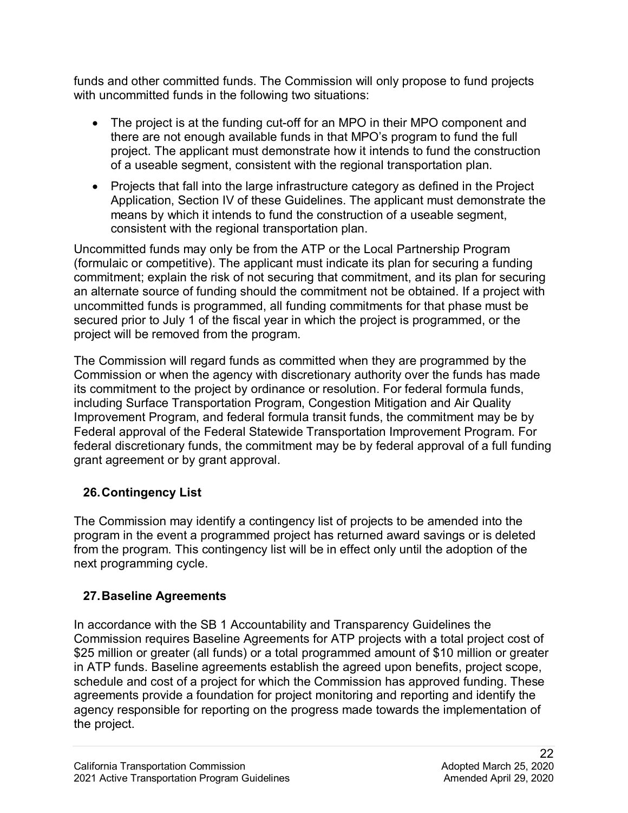funds and other committed funds. The Commission will only propose to fund projects with uncommitted funds in the following two situations:

- The project is at the funding cut-off for an MPO in their MPO component and there are not enough available funds in that MPO's program to fund the full project. The applicant must demonstrate how it intends to fund the construction of a useable segment, consistent with the regional transportation plan.
- • Projects that fall into the large infrastructure category as defined in the Project Application, Section IV of these Guidelines. The applicant must demonstrate the means by which it intends to fund the construction of a useable segment, consistent with the regional transportation plan.

 (formulaic or competitive). The applicant must indicate its plan for securing a funding Uncommitted funds may only be from the ATP or the Local Partnership Program commitment; explain the risk of not securing that commitment, and its plan for securing an alternate source of funding should the commitment not be obtained. If a project with uncommitted funds is programmed, all funding commitments for that phase must be secured prior to July 1 of the fiscal year in which the project is programmed, or the project will be removed from the program.

 Commission or when the agency with discretionary authority over the funds has made its commitment to the project by ordinance or resolution. For federal formula funds, Improvement Program, and federal formula transit funds, the commitment may be by The Commission will regard funds as committed when they are programmed by the including Surface Transportation Program, Congestion Mitigation and Air Quality Federal approval of the Federal Statewide Transportation Improvement Program. For federal discretionary funds, the commitment may be by federal approval of a full funding grant agreement or by grant approval.

## **26.Contingency List**

 program in the event a programmed project has returned award savings or is deleted from the program. This contingency list will be in effect only until the adoption of the The Commission may identify a contingency list of projects to be amended into the next programming cycle.

## **27.Baseline Agreements**

 \$25 million or greater (all funds) or a total programmed amount of \$10 million or greater in ATP funds. Baseline agreements establish the agreed upon benefits, project scope, In accordance with the SB 1 Accountability and Transparency Guidelines the Commission requires Baseline Agreements for ATP projects with a total project cost of schedule and cost of a project for which the Commission has approved funding. These agreements provide a foundation for project monitoring and reporting and identify the agency responsible for reporting on the progress made towards the implementation of the project.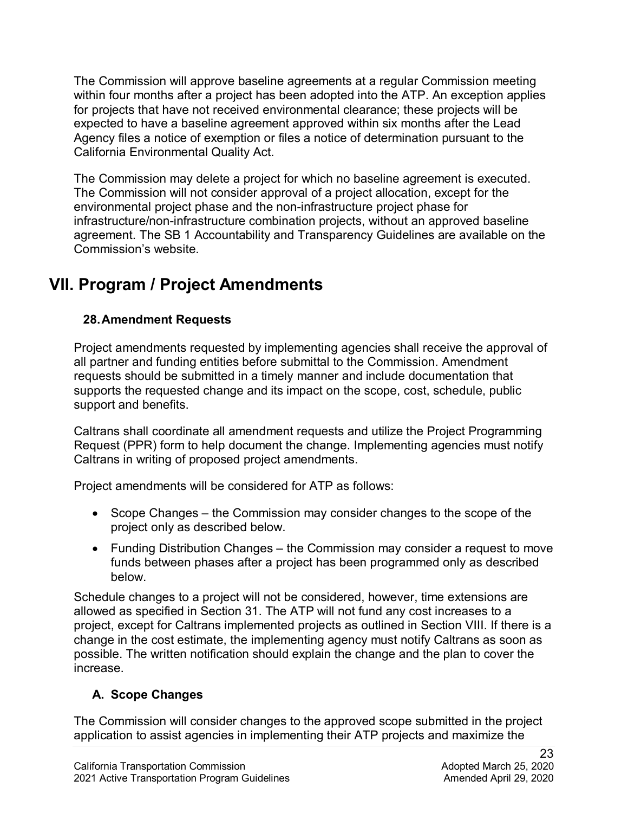California Environmental Quality Act. The Commission will approve baseline agreements at a regular Commission meeting within four months after a project has been adopted into the ATP. An exception applies for projects that have not received environmental clearance; these projects will be expected to have a baseline agreement approved within six months after the Lead Agency files a notice of exemption or files a notice of determination pursuant to the

The Commission may delete a project for which no baseline agreement is executed. The Commission will not consider approval of a project allocation, except for the environmental project phase and the non-infrastructure project phase for infrastructure/non-infrastructure combination projects, without an approved baseline agreement. The SB 1 Accountability and Transparency Guidelines are available on the Commission's website.

## **VII. Program / Project Amendments**

## **28.Amendment Requests**

support and benefits. Project amendments requested by implementing agencies shall receive the approval of all partner and funding entities before submittal to the Commission. Amendment requests should be submitted in a timely manner and include documentation that supports the requested change and its impact on the scope, cost, schedule, public

Caltrans shall coordinate all amendment requests and utilize the Project Programming Request (PPR) form to help document the change. Implementing agencies must notify Caltrans in writing of proposed project amendments.

Project amendments will be considered for ATP as follows:

- • Scope Changes the Commission may consider changes to the scope of the project only as described below.
- • Funding Distribution Changes the Commission may consider a request to move below. funds between phases after a project has been programmed only as described

 allowed as specified in Section 31. The ATP will not fund any cost increases to a change in the cost estimate, the implementing agency must notify Caltrans as soon as Schedule changes to a project will not be considered, however, time extensions are project, except for Caltrans implemented projects as outlined in Section VIII. If there is a possible. The written notification should explain the change and the plan to cover the increase.

## **A. Scope Changes**

The Commission will consider changes to the approved scope submitted in the project application to assist agencies in implementing their ATP projects and maximize the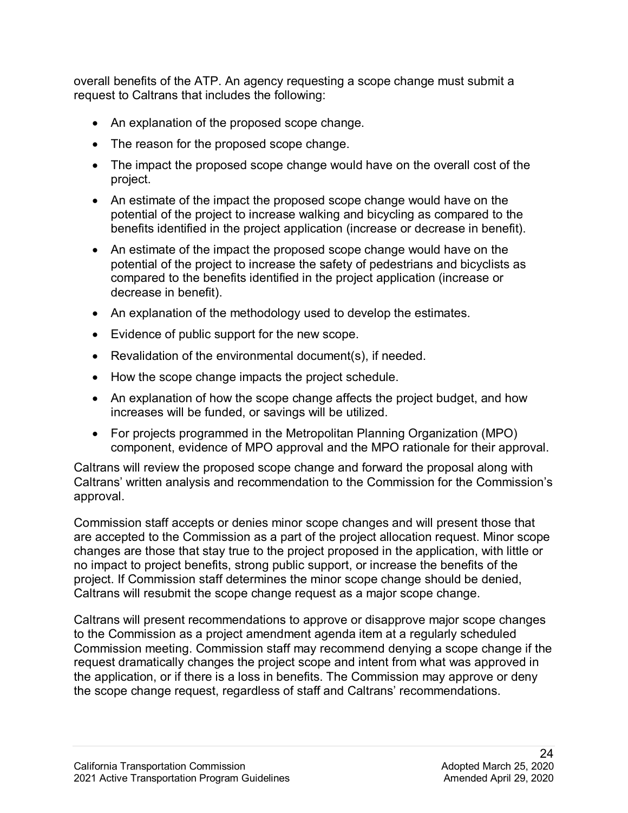request to Caltrans that includes the following: overall benefits of the ATP. An agency requesting a scope change must submit a

- An explanation of the proposed scope change.
- The reason for the proposed scope change.
- The impact the proposed scope change would have on the overall cost of the project.
- An estimate of the impact the proposed scope change would have on the potential of the project to increase walking and bicycling as compared to the benefits identified in the project application (increase or decrease in benefit).
- decrease in benefit). • An estimate of the impact the proposed scope change would have on the potential of the project to increase the safety of pedestrians and bicyclists as compared to the benefits identified in the project application (increase or
- An explanation of the methodology used to develop the estimates.
- Evidence of public support for the new scope.
- Revalidation of the environmental document(s), if needed.
- How the scope change impacts the project schedule.
- An explanation of how the scope change affects the project budget, and how increases will be funded, or savings will be utilized.
- For projects programmed in the Metropolitan Planning Organization (MPO) component, evidence of MPO approval and the MPO rationale for their approval.

Caltrans will review the proposed scope change and forward the proposal along with Caltrans' written analysis and recommendation to the Commission for the Commission's approval.

 Commission staff accepts or denies minor scope changes and will present those that changes are those that stay true to the project proposed in the application, with little or are accepted to the Commission as a part of the project allocation request. Minor scope no impact to project benefits, strong public support, or increase the benefits of the project. If Commission staff determines the minor scope change should be denied, Caltrans will resubmit the scope change request as a major scope change.

 request dramatically changes the project scope and intent from what was approved in the application, or if there is a loss in benefits. The Commission may approve or deny Caltrans will present recommendations to approve or disapprove major scope changes to the Commission as a project amendment agenda item at a regularly scheduled Commission meeting. Commission staff may recommend denying a scope change if the the scope change request, regardless of staff and Caltrans' recommendations.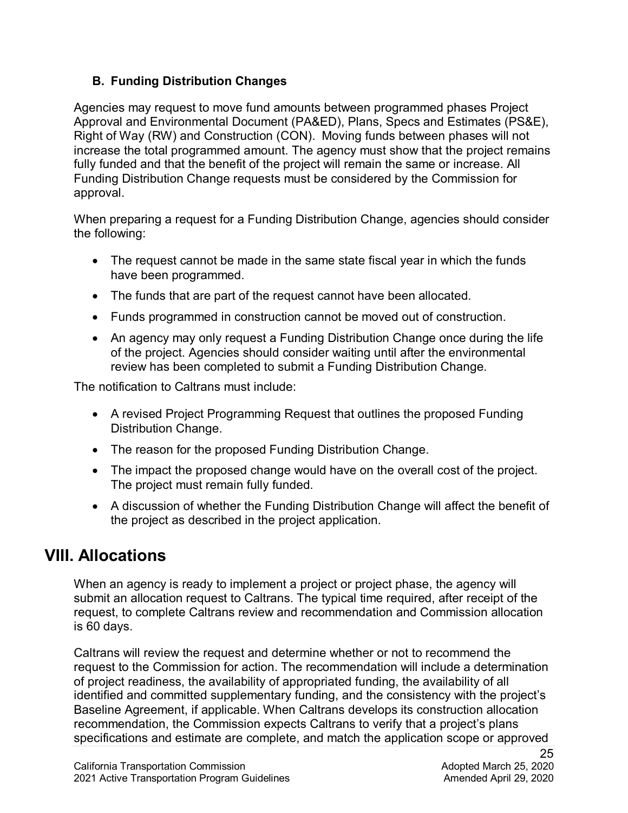### **B. Funding Distribution Changes**

 Approval and Environmental Document (PA&ED), Plans, Specs and Estimates (PS&E), Right of Way (RW) and Construction (CON). Moving funds between phases will not Agencies may request to move fund amounts between programmed phases Project increase the total programmed amount. The agency must show that the project remains fully funded and that the benefit of the project will remain the same or increase. All Funding Distribution Change requests must be considered by the Commission for approval.

When preparing a request for a Funding Distribution Change, agencies should consider the following:

- The request cannot be made in the same state fiscal year in which the funds have been programmed.
- The funds that are part of the request cannot have been allocated.
- Funds programmed in construction cannot be moved out of construction.
- An agency may only request a Funding Distribution Change once during the life of the project. Agencies should consider waiting until after the environmental review has been completed to submit a Funding Distribution Change.

The notification to Caltrans must include:

- A revised Project Programming Request that outlines the proposed Funding Distribution Change.
- The reason for the proposed Funding Distribution Change.
- The impact the proposed change would have on the overall cost of the project. The project must remain fully funded.
- A discussion of whether the Funding Distribution Change will affect the benefit of the project as described in the project application.

## **VIII. Allocations**

When an agency is ready to implement a project or project phase, the agency will submit an allocation request to Caltrans. The typical time required, after receipt of the request, to complete Caltrans review and recommendation and Commission allocation is 60 days.

 Caltrans will review the request and determine whether or not to recommend the of project readiness, the availability of appropriated funding, the availability of all specifications and estimate are complete, and match the application scope or approved request to the Commission for action. The recommendation will include a determination identified and committed supplementary funding, and the consistency with the project's Baseline Agreement, if applicable. When Caltrans develops its construction allocation recommendation, the Commission expects Caltrans to verify that a project's plans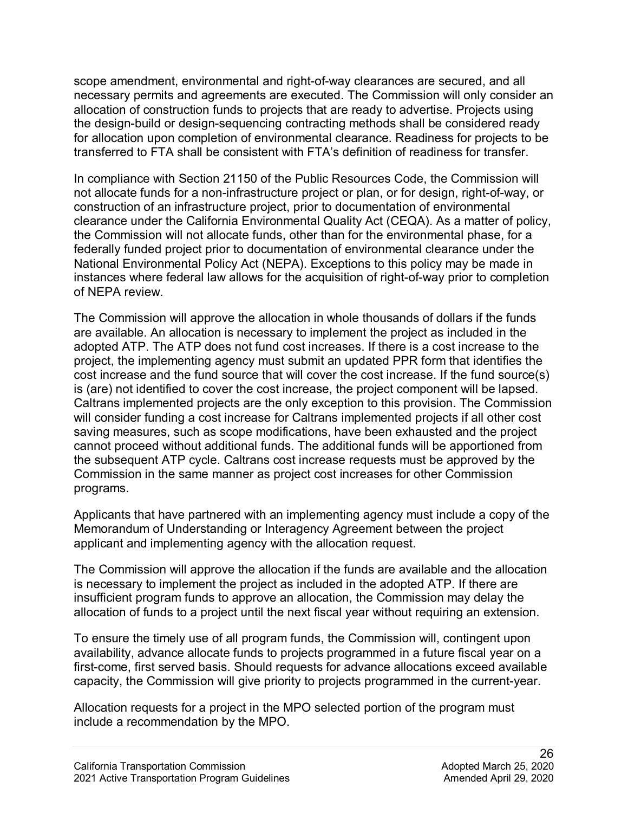transferred to FTA shall be consistent with FTA's definition of readiness for transfer. scope amendment, environmental and right-of-way clearances are secured, and all necessary permits and agreements are executed. The Commission will only consider an allocation of construction funds to projects that are ready to advertise. Projects using the design-build or design-sequencing contracting methods shall be considered ready for allocation upon completion of environmental clearance. Readiness for projects to be

 of NEPA review. In compliance with Section 21150 of the Public Resources Code, the Commission will not allocate funds for a non-infrastructure project or plan, or for design, right-of-way, or construction of an infrastructure project, prior to documentation of environmental clearance under the California Environmental Quality Act (CEQA). As a matter of policy, the Commission will not allocate funds, other than for the environmental phase, for a federally funded project prior to documentation of environmental clearance under the National Environmental Policy Act (NEPA). Exceptions to this policy may be made in instances where federal law allows for the acquisition of right-of-way prior to completion

 The Commission will approve the allocation in whole thousands of dollars if the funds cost increase and the fund source that will cover the cost increase. If the fund source(s) will consider funding a cost increase for Caltrans implemented projects if all other cost are available. An allocation is necessary to implement the project as included in the adopted ATP. The ATP does not fund cost increases. If there is a cost increase to the project, the implementing agency must submit an updated PPR form that identifies the is (are) not identified to cover the cost increase, the project component will be lapsed. Caltrans implemented projects are the only exception to this provision. The Commission saving measures, such as scope modifications, have been exhausted and the project cannot proceed without additional funds. The additional funds will be apportioned from the subsequent ATP cycle. Caltrans cost increase requests must be approved by the Commission in the same manner as project cost increases for other Commission programs.

 applicant and implementing agency with the allocation request. Applicants that have partnered with an implementing agency must include a copy of the Memorandum of Understanding or Interagency Agreement between the project

 The Commission will approve the allocation if the funds are available and the allocation is necessary to implement the project as included in the adopted ATP. If there are insufficient program funds to approve an allocation, the Commission may delay the allocation of funds to a project until the next fiscal year without requiring an extension.

To ensure the timely use of all program funds, the Commission will, contingent upon availability, advance allocate funds to projects programmed in a future fiscal year on a first-come, first served basis. Should requests for advance allocations exceed available capacity, the Commission will give priority to projects programmed in the current-year.

 Allocation requests for a project in the MPO selected portion of the program must include a recommendation by the MPO.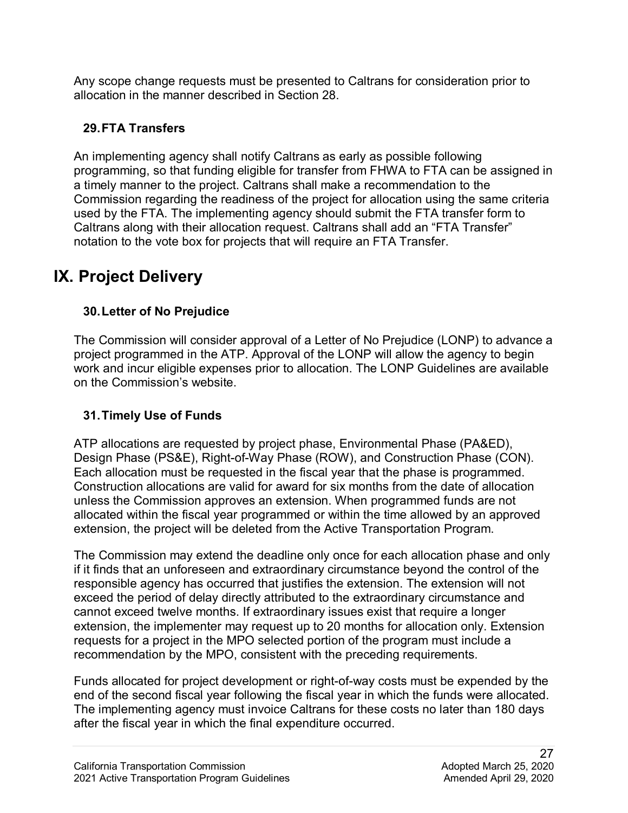Any scope change requests must be presented to Caltrans for consideration prior to allocation in the manner described in Section 28.

## **29.FTA Transfers**

 An implementing agency shall notify Caltrans as early as possible following notation to the vote box for projects that will require an FTA Transfer. programming, so that funding eligible for transfer from FHWA to FTA can be assigned in a timely manner to the project. Caltrans shall make a recommendation to the Commission regarding the readiness of the project for allocation using the same criteria used by the FTA. The implementing agency should submit the FTA transfer form to Caltrans along with their allocation request. Caltrans shall add an "FTA Transfer"

## **IX. Project Delivery**

## **30.Letter of No Prejudice**

 project programmed in the ATP. Approval of the LONP will allow the agency to begin on the Commission's website. The Commission will consider approval of a Letter of No Prejudice (LONP) to advance a work and incur eligible expenses prior to allocation. The LONP Guidelines are available

## **31.Timely Use of Funds**

 ATP allocations are requested by project phase, Environmental Phase (PA&ED), Design Phase (PS&E), Right-of-Way Phase (ROW), and Construction Phase (CON). Each allocation must be requested in the fiscal year that the phase is programmed. Construction allocations are valid for award for six months from the date of allocation unless the Commission approves an extension. When programmed funds are not allocated within the fiscal year programmed or within the time allowed by an approved extension, the project will be deleted from the Active Transportation Program.

 if it finds that an unforeseen and extraordinary circumstance beyond the control of the The Commission may extend the deadline only once for each allocation phase and only responsible agency has occurred that justifies the extension. The extension will not exceed the period of delay directly attributed to the extraordinary circumstance and cannot exceed twelve months. If extraordinary issues exist that require a longer extension, the implementer may request up to 20 months for allocation only. Extension requests for a project in the MPO selected portion of the program must include a recommendation by the MPO, consistent with the preceding requirements.

Funds allocated for project development or right-of-way costs must be expended by the end of the second fiscal year following the fiscal year in which the funds were allocated. The implementing agency must invoice Caltrans for these costs no later than 180 days after the fiscal year in which the final expenditure occurred.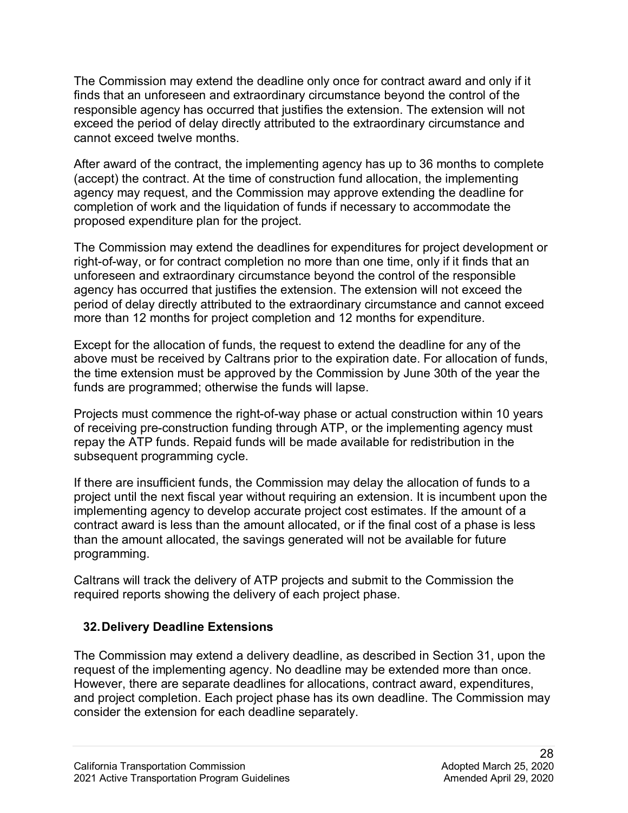The Commission may extend the deadline only once for contract award and only if it finds that an unforeseen and extraordinary circumstance beyond the control of the responsible agency has occurred that justifies the extension. The extension will not exceed the period of delay directly attributed to the extraordinary circumstance and cannot exceed twelve months.

 agency may request, and the Commission may approve extending the deadline for After award of the contract, the implementing agency has up to 36 months to complete (accept) the contract. At the time of construction fund allocation, the implementing completion of work and the liquidation of funds if necessary to accommodate the proposed expenditure plan for the project.

 right-of-way, or for contract completion no more than one time, only if it finds that an The Commission may extend the deadlines for expenditures for project development or unforeseen and extraordinary circumstance beyond the control of the responsible agency has occurred that justifies the extension. The extension will not exceed the period of delay directly attributed to the extraordinary circumstance and cannot exceed more than 12 months for project completion and 12 months for expenditure.

Except for the allocation of funds, the request to extend the deadline for any of the above must be received by Caltrans prior to the expiration date. For allocation of funds, the time extension must be approved by the Commission by June 30th of the year the funds are programmed; otherwise the funds will lapse.

Projects must commence the right-of-way phase or actual construction within 10 years of receiving pre-construction funding through ATP, or the implementing agency must repay the ATP funds. Repaid funds will be made available for redistribution in the subsequent programming cycle.

programming. If there are insufficient funds, the Commission may delay the allocation of funds to a project until the next fiscal year without requiring an extension. It is incumbent upon the implementing agency to develop accurate project cost estimates. If the amount of a contract award is less than the amount allocated, or if the final cost of a phase is less than the amount allocated, the savings generated will not be available for future

Caltrans will track the delivery of ATP projects and submit to the Commission the required reports showing the delivery of each project phase.

### **32.Delivery Deadline Extensions**

The Commission may extend a delivery deadline, as described in Section 31, upon the request of the implementing agency. No deadline may be extended more than once. However, there are separate deadlines for allocations, contract award, expenditures, and project completion. Each project phase has its own deadline. The Commission may consider the extension for each deadline separately.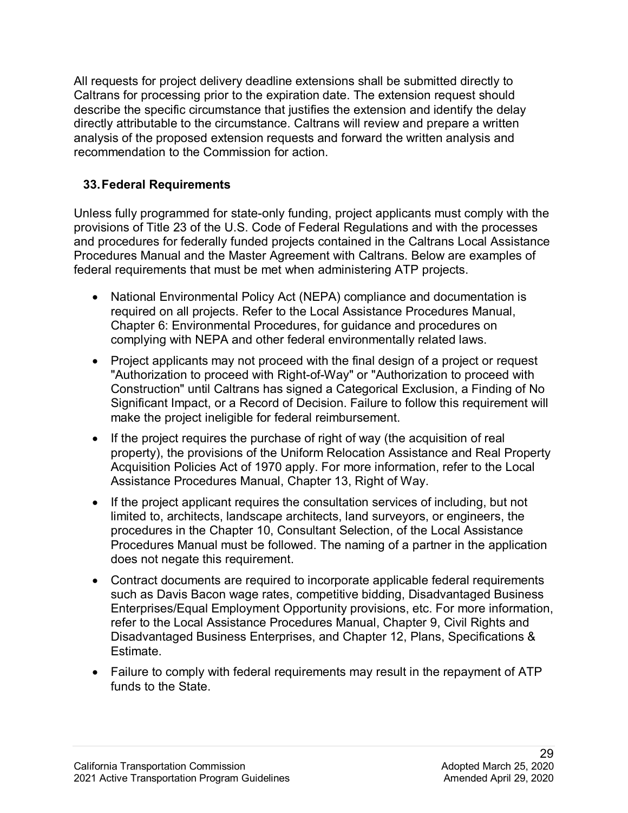All requests for project delivery deadline extensions shall be submitted directly to Caltrans for processing prior to the expiration date. The extension request should describe the specific circumstance that justifies the extension and identify the delay directly attributable to the circumstance. Caltrans will review and prepare a written analysis of the proposed extension requests and forward the written analysis and recommendation to the Commission for action.

## **33.Federal Requirements**

 and procedures for federally funded projects contained in the Caltrans Local Assistance federal requirements that must be met when administering ATP projects. Unless fully programmed for state-only funding, project applicants must comply with the provisions of Title 23 of the U.S. Code of Federal Regulations and with the processes Procedures Manual and the Master Agreement with Caltrans. Below are examples of

- National Environmental Policy Act (NEPA) compliance and documentation is required on all projects. Refer to the Local Assistance Procedures Manual, Chapter 6: Environmental Procedures, for guidance and procedures on complying with NEPA and other federal environmentally related laws.
- Project applicants may not proceed with the final design of a project or request "Authorization to proceed with Right-of-Way" or "Authorization to proceed with Construction" until Caltrans has signed a Categorical Exclusion, a Finding of No Significant Impact, or a Record of Decision. Failure to follow this requirement will make the project ineligible for federal reimbursement.
- • If the project requires the purchase of right of way (the acquisition of real property), the provisions of the Uniform Relocation Assistance and Real Property Acquisition Policies Act of 1970 apply. For more information, refer to the Local Assistance Procedures Manual, Chapter 13, Right of Way.
- • If the project applicant requires the consultation services of including, but not limited to, architects, landscape architects, land surveyors, or engineers, the procedures in the Chapter 10, Consultant Selection, of the Local Assistance Procedures Manual must be followed. The naming of a partner in the application does not negate this requirement.
- Estimate. • Contract documents are required to incorporate applicable federal requirements such as Davis Bacon wage rates, competitive bidding, Disadvantaged Business Enterprises/Equal Employment Opportunity provisions, etc. For more information, refer to the Local Assistance Procedures Manual, Chapter 9, Civil Rights and Disadvantaged Business Enterprises, and Chapter 12, Plans, Specifications &
- Failure to comply with federal requirements may result in the repayment of ATP funds to the State.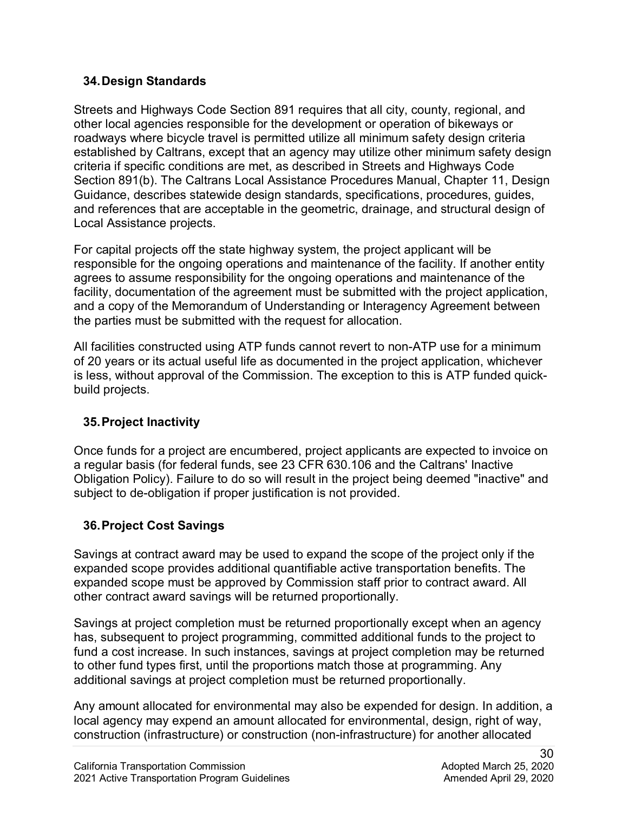#### **34.Design Standards**

 other local agencies responsible for the development or operation of bikeways or Local Assistance projects. Streets and Highways Code Section 891 requires that all city, county, regional, and roadways where bicycle travel is permitted utilize all minimum safety design criteria established by Caltrans, except that an agency may utilize other minimum safety design criteria if specific conditions are met, as described in Streets and Highways Code Section 891(b). The Caltrans Local Assistance Procedures Manual, Chapter 11, Design Guidance, describes statewide design standards, specifications, procedures, guides, and references that are acceptable in the geometric, drainage, and structural design of

 facility, documentation of the agreement must be submitted with the project application, For capital projects off the state highway system, the project applicant will be responsible for the ongoing operations and maintenance of the facility. If another entity agrees to assume responsibility for the ongoing operations and maintenance of the and a copy of the Memorandum of Understanding or Interagency Agreement between the parties must be submitted with the request for allocation.

 of 20 years or its actual useful life as documented in the project application, whichever All facilities constructed using ATP funds cannot revert to non-ATP use for a minimum is less, without approval of the Commission. The exception to this is ATP funded quickbuild projects.

### **35.Project Inactivity**

 Obligation Policy). Failure to do so will result in the project being deemed "inactive" and Once funds for a project are encumbered, project applicants are expected to invoice on a regular basis (for federal funds, see 23 CFR 630.106 and the Caltrans' Inactive subject to de-obligation if proper justification is not provided.

### **36.Project Cost Savings**

Savings at contract award may be used to expand the scope of the project only if the expanded scope provides additional quantifiable active transportation benefits. The expanded scope must be approved by Commission staff prior to contract award. All other contract award savings will be returned proportionally.

Savings at project completion must be returned proportionally except when an agency has, subsequent to project programming, committed additional funds to the project to fund a cost increase. In such instances, savings at project completion may be returned to other fund types first, until the proportions match those at programming. Any additional savings at project completion must be returned proportionally.

Any amount allocated for environmental may also be expended for design. In addition, a local agency may expend an amount allocated for environmental, design, right of way, construction (infrastructure) or construction (non-infrastructure) for another allocated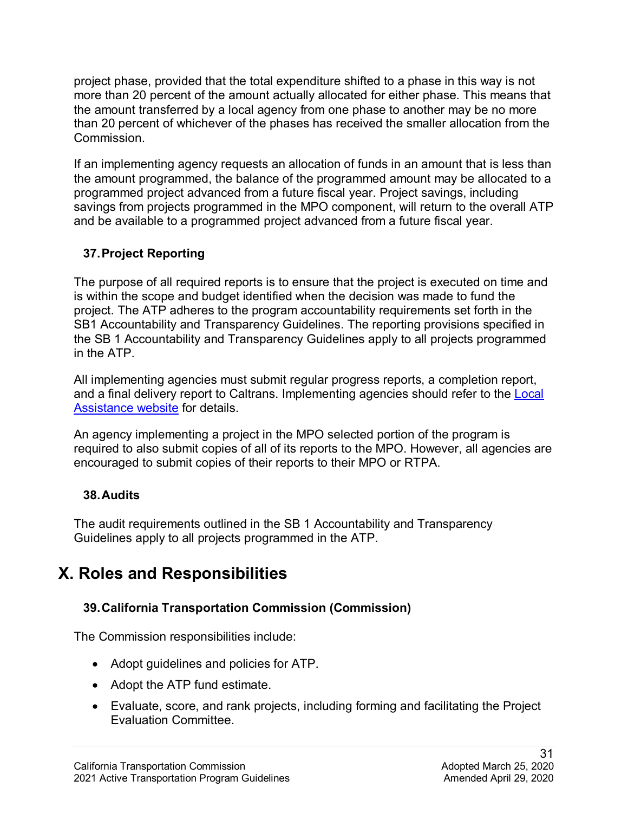project phase, provided that the total expenditure shifted to a phase in this way is not more than 20 percent of the amount actually allocated for either phase. This means that the amount transferred by a local agency from one phase to another may be no more than 20 percent of whichever of the phases has received the smaller allocation from the Commission.

 and be available to a programmed project advanced from a future fiscal year. If an implementing agency requests an allocation of funds in an amount that is less than the amount programmed, the balance of the programmed amount may be allocated to a programmed project advanced from a future fiscal year. Project savings, including savings from projects programmed in the MPO component, will return to the overall ATP

## **37.Project Reporting**

 SB1 Accountability and Transparency Guidelines. The reporting provisions specified in in the ATP. The purpose of all required reports is to ensure that the project is executed on time and is within the scope and budget identified when the decision was made to fund the project. The ATP adheres to the program accountability requirements set forth in the the SB 1 Accountability and Transparency Guidelines apply to all projects programmed

<u>Assistance website</u> for details. All implementing agencies must submit regular progress reports, a completion report, and a final delivery report to Caltrans. Implementing agencies should refer to the **Local** 

An agency implementing a project in the MPO selected portion of the program is required to also submit copies of all of its reports to the MPO. However, all agencies are encouraged to submit copies of their reports to their MPO or RTPA.

### **38.Audits**

 Guidelines apply to all projects programmed in the ATP. The audit requirements outlined in the SB 1 Accountability and Transparency

## **X. Roles and Responsibilities**

### **39.California Transportation Commission (Commission)**

The Commission responsibilities include:

- Adopt guidelines and policies for ATP.
- Adopt the ATP fund estimate.
- Evaluate, score, and rank projects, including forming and facilitating the Project Evaluation Committee.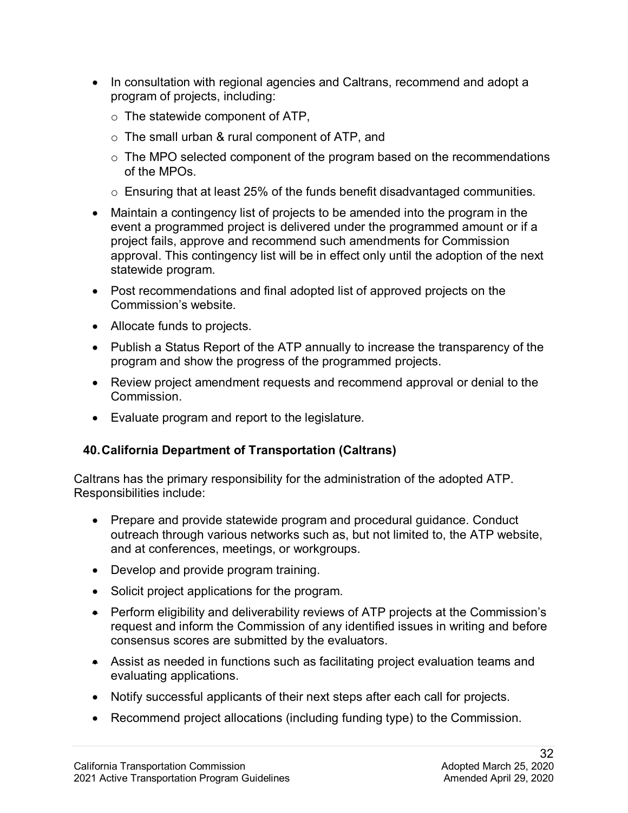- In consultation with regional agencies and Caltrans, recommend and adopt a program of projects, including:
	- $\circ$  The statewide component of ATP,
	- $\circ$  The small urban & rural component of ATP, and
	- $\circ$  The MPO selected component of the program based on the recommendations of the MPOs.
	- $\circ~$  Ensuring that at least 25% of the funds benefit disadvantaged communities.
- event a programmed project is delivered under the programmed amount or if a • Maintain a contingency list of projects to be amended into the program in the project fails, approve and recommend such amendments for Commission approval. This contingency list will be in effect only until the adoption of the next statewide program.
- Post recommendations and final adopted list of approved projects on the Commission's website.
- Allocate funds to projects.
- Publish a Status Report of the ATP annually to increase the transparency of the program and show the progress of the programmed projects.
- Review project amendment requests and recommend approval or denial to the Commission.
- Evaluate program and report to the legislature.

### **40.California Department of Transportation (Caltrans)**

Caltrans has the primary responsibility for the administration of the adopted ATP. Responsibilities include:

- • Prepare and provide statewide program and procedural guidance. Conduct outreach through various networks such as, but not limited to, the ATP website, and at conferences, meetings, or workgroups.
- Develop and provide program training.
- Solicit project applications for the program.
- • Perform eligibility and deliverability reviews of ATP projects at the Commission's request and inform the Commission of any identified issues in writing and before consensus scores are submitted by the evaluators.
- Assist as needed in functions such as facilitating project evaluation teams and evaluating applications.
- Notify successful applicants of their next steps after each call for projects.
- Recommend project allocations (including funding type) to the Commission.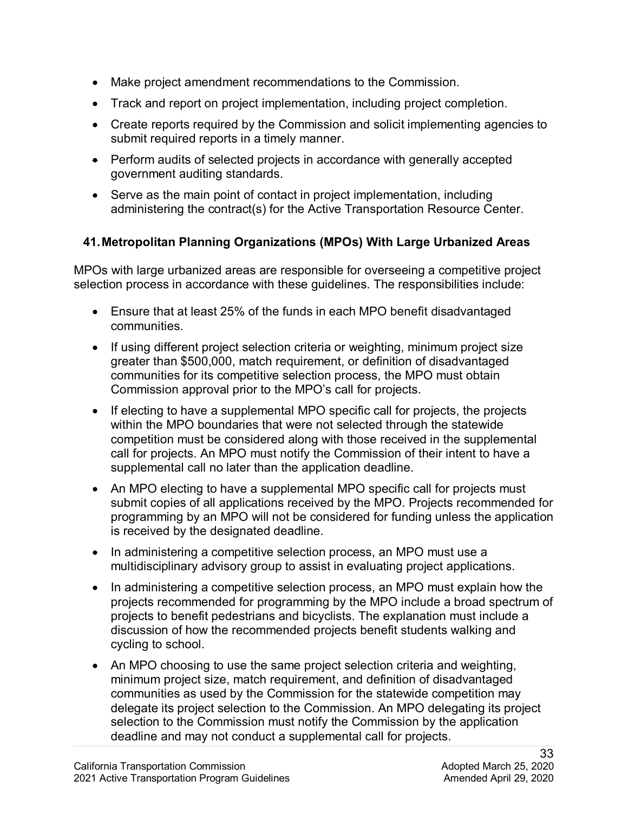- Make project amendment recommendations to the Commission.
- Track and report on project implementation, including project completion.
- Create reports required by the Commission and solicit implementing agencies to submit required reports in a timely manner.
- Perform audits of selected projects in accordance with generally accepted government auditing standards.
- Serve as the main point of contact in project implementation, including administering the contract(s) for the Active Transportation Resource Center.

## **41.Metropolitan Planning Organizations (MPOs) With Large Urbanized Areas**

MPOs with large urbanized areas are responsible for overseeing a competitive project selection process in accordance with these guidelines. The responsibilities include:

- • Ensure that at least 25% of the funds in each MPO benefit disadvantaged communities.
- If using different project selection criteria or weighting, minimum project size greater than \$500,000, match requirement, or definition of disadvantaged communities for its competitive selection process, the MPO must obtain Commission approval prior to the MPO's call for projects.
- If electing to have a supplemental MPO specific call for projects, the projects within the MPO boundaries that were not selected through the statewide competition must be considered along with those received in the supplemental call for projects. An MPO must notify the Commission of their intent to have a supplemental call no later than the application deadline.
- An MPO electing to have a supplemental MPO specific call for projects must submit copies of all applications received by the MPO. Projects recommended for programming by an MPO will not be considered for funding unless the application is received by the designated deadline.
- In administering a competitive selection process, an MPO must use a multidisciplinary advisory group to assist in evaluating project applications.
- In administering a competitive selection process, an MPO must explain how the projects recommended for programming by the MPO include a broad spectrum of projects to benefit pedestrians and bicyclists. The explanation must include a discussion of how the recommended projects benefit students walking and cycling to school.
- An MPO choosing to use the same project selection criteria and weighting, minimum project size, match requirement, and definition of disadvantaged communities as used by the Commission for the statewide competition may delegate its project selection to the Commission. An MPO delegating its project selection to the Commission must notify the Commission by the application deadline and may not conduct a supplemental call for projects.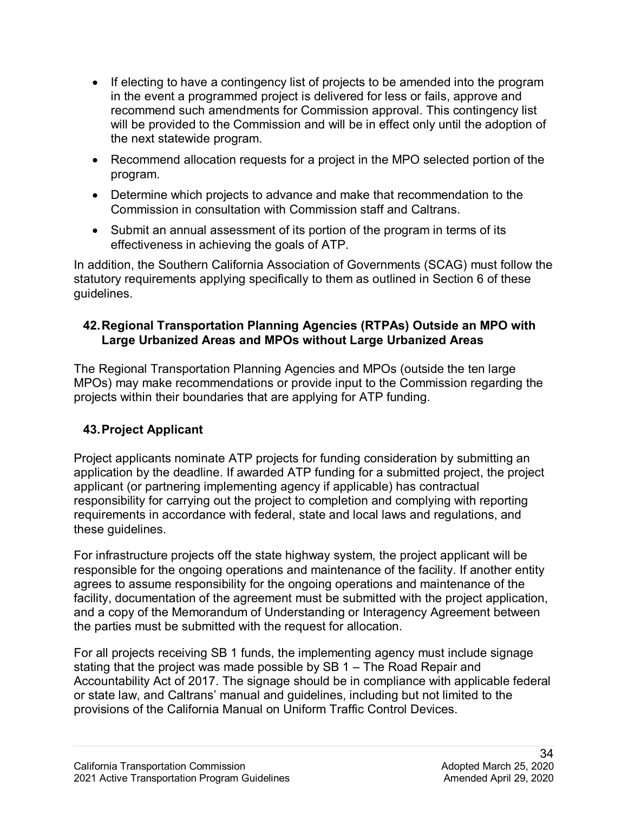- recommend such amendments for Commission approval. This contingency list • If electing to have a contingency list of projects to be amended into the program in the event a programmed project is delivered for less or fails, approve and will be provided to the Commission and will be in effect only until the adoption of the next statewide program.
- Recommend allocation requests for a project in the MPO selected portion of the program.
- Determine which projects to advance and make that recommendation to the Commission in consultation with Commission staff and Caltrans.
- Submit an annual assessment of its portion of the program in terms of its effectiveness in achieving the goals of ATP.

 In addition, the Southern California Association of Governments (SCAG) must follow the statutory requirements applying specifically to them as outlined in Section 6 of these guidelines.

### **Large Urbanized Areas and MPOs without Large Urbanized Areas 42.Regional Transportation Planning Agencies (RTPAs) Outside an MPO with**

 projects within their boundaries that are applying for ATP funding. The Regional Transportation Planning Agencies and MPOs (outside the ten large MPOs) may make recommendations or provide input to the Commission regarding the

## **43.Project Applicant**

Project applicants nominate ATP projects for funding consideration by submitting an application by the deadline. If awarded ATP funding for a submitted project, the project applicant (or partnering implementing agency if applicable) has contractual responsibility for carrying out the project to completion and complying with reporting requirements in accordance with federal, state and local laws and regulations, and these guidelines.

 facility, documentation of the agreement must be submitted with the project application, For infrastructure projects off the state highway system, the project applicant will be responsible for the ongoing operations and maintenance of the facility. If another entity agrees to assume responsibility for the ongoing operations and maintenance of the and a copy of the Memorandum of Understanding or Interagency Agreement between the parties must be submitted with the request for allocation.

For all projects receiving SB 1 funds, the implementing agency must include signage stating that the project was made possible by SB 1 – The Road Repair and Accountability Act of 2017. The signage should be in compliance with applicable federal or state law, and Caltrans' manual and guidelines, including but not limited to the provisions of the California Manual on Uniform Traffic Control Devices.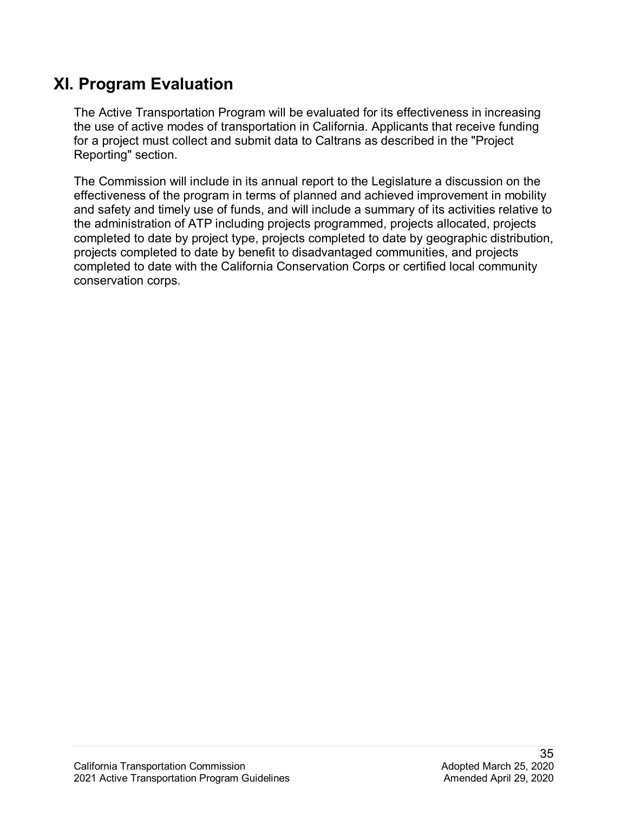## **XI. Program Evaluation**

The Active Transportation Program will be evaluated for its effectiveness in increasing the use of active modes of transportation in California. Applicants that receive funding for a project must collect and submit data to Caltrans as described in the "Project Reporting" section.

 projects completed to date by benefit to disadvantaged communities, and projects completed to date with the California Conservation Corps or certified local community The Commission will include in its annual report to the Legislature a discussion on the effectiveness of the program in terms of planned and achieved improvement in mobility and safety and timely use of funds, and will include a summary of its activities relative to the administration of ATP including projects programmed, projects allocated, projects completed to date by project type, projects completed to date by geographic distribution, conservation corps.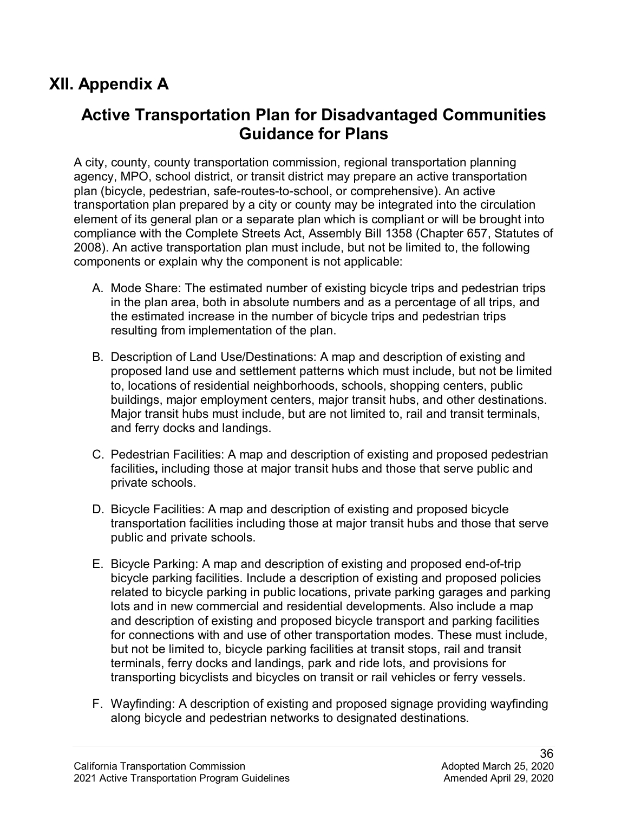## **XII. Appendix A**

## **Active Transportation Plan for Disadvantaged Communities Guidance for Plans**

 agency, MPO, school district, or transit district may prepare an active transportation components or explain why the component is not applicable: A city, county, county transportation commission, regional transportation planning plan (bicycle, pedestrian, safe-routes-to-school, or comprehensive). An active transportation plan prepared by a city or county may be integrated into the circulation element of its general plan or a separate plan which is compliant or will be brought into compliance with the Complete Streets Act, Assembly Bill 1358 (Chapter 657, Statutes of 2008). An active transportation plan must include, but not be limited to, the following

- A. Mode Share: The estimated number of existing bicycle trips and pedestrian trips in the plan area, both in absolute numbers and as a percentage of all trips, and the estimated increase in the number of bicycle trips and pedestrian trips resulting from implementation of the plan.
- Major transit hubs must include, but are not limited to, rail and transit terminals, B. Description of Land Use/Destinations: A map and description of existing and proposed land use and settlement patterns which must include, but not be limited to, locations of residential neighborhoods, schools, shopping centers, public buildings, major employment centers, major transit hubs, and other destinations. and ferry docks and landings.
- private schools. C. Pedestrian Facilities: A map and description of existing and proposed pedestrian facilities**,** including those at major transit hubs and those that serve public and
- public and private schools. D. Bicycle Facilities: A map and description of existing and proposed bicycle transportation facilities including those at major transit hubs and those that serve
- E. Bicycle Parking: A map and description of existing and proposed end-of-trip bicycle parking facilities. Include a description of existing and proposed policies related to bicycle parking in public locations, private parking garages and parking lots and in new commercial and residential developments. Also include a map and description of existing and proposed bicycle transport and parking facilities for connections with and use of other transportation modes. These must include, but not be limited to, bicycle parking facilities at transit stops, rail and transit terminals, ferry docks and landings, park and ride lots, and provisions for transporting bicyclists and bicycles on transit or rail vehicles or ferry vessels.
- F. Wayfinding: A description of existing and proposed signage providing wayfinding along bicycle and pedestrian networks to designated destinations.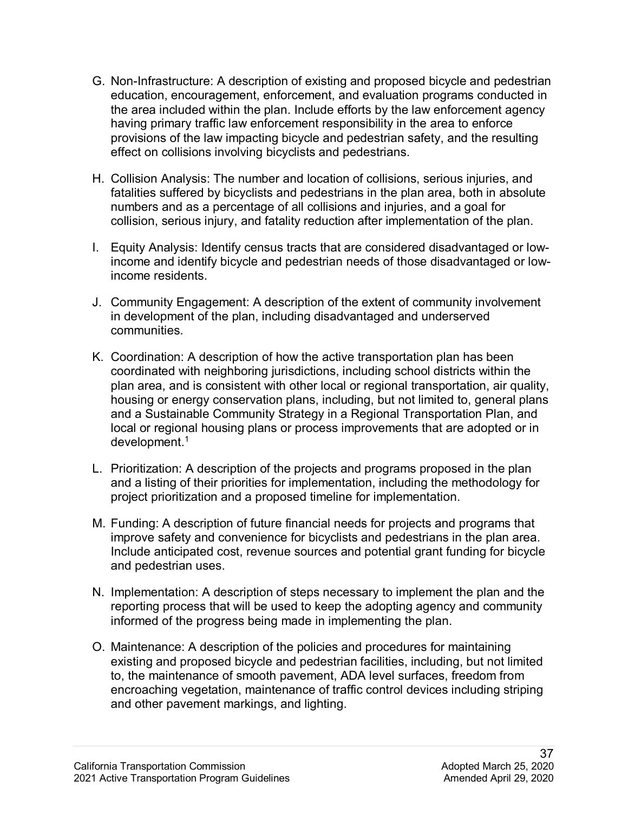- G. Non-Infrastructure: A description of existing and proposed bicycle and pedestrian education, encouragement, enforcement, and evaluation programs conducted in the area included within the plan. Include efforts by the law enforcement agency having primary traffic law enforcement responsibility in the area to enforce provisions of the law impacting bicycle and pedestrian safety, and the resulting effect on collisions involving bicyclists and pedestrians.
- H. Collision Analysis: The number and location of collisions, serious injuries, and fatalities suffered by bicyclists and pedestrians in the plan area, both in absolute numbers and as a percentage of all collisions and injuries, and a goal for collision, serious injury, and fatality reduction after implementation of the plan.
- income and identify bicycle and pedestrian needs of those disadvantaged or low-I. Equity Analysis: Identify census tracts that are considered disadvantaged or lowincome residents.
- J. Community Engagement: A description of the extent of community involvement in development of the plan, including disadvantaged and underserved communities.
- local or regional housing plans or process improvements that are adopted or in development. 1 K. Coordination: A description of how the active transportation plan has been coordinated with neighboring jurisdictions, including school districts within the plan area, and is consistent with other local or regional transportation, air quality, housing or energy conservation plans, including, but not limited to, general plans and a Sustainable Community Strategy in a Regional Transportation Plan, and
- L. Prioritization: A description of the projects and programs proposed in the plan and a listing of their priorities for implementation, including the methodology for project prioritization and a proposed timeline for implementation.
- M. Funding: A description of future financial needs for projects and programs that improve safety and convenience for bicyclists and pedestrians in the plan area. Include anticipated cost, revenue sources and potential grant funding for bicycle and pedestrian uses.
- N. Implementation: A description of steps necessary to implement the plan and the reporting process that will be used to keep the adopting agency and community informed of the progress being made in implementing the plan.
- existing and proposed bicycle and pedestrian facilities, including, but not limited encroaching vegetation, maintenance of traffic control devices including striping O. Maintenance: A description of the policies and procedures for maintaining to, the maintenance of smooth pavement, ADA level surfaces, freedom from and other pavement markings, and lighting.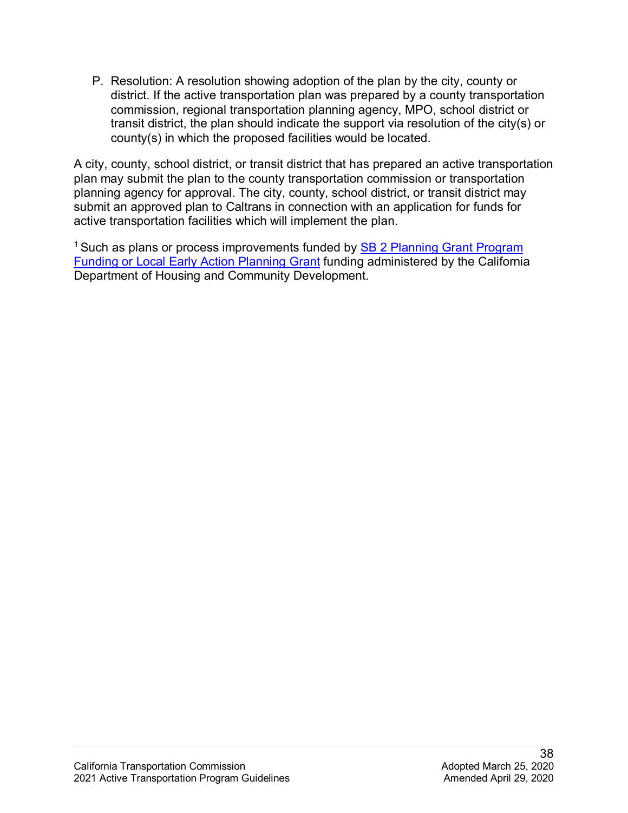P. Resolution: A resolution showing adoption of the plan by the city, county or district. If the active transportation plan was prepared by a county transportation commission, regional transportation planning agency, MPO, school district or transit district, the plan should indicate the support via resolution of the city(s) or county(s) in which the proposed facilities would be located.

A city, county, school district, or transit district that has prepared an active transportation plan may submit the plan to the county transportation commission or transportation planning agency for approval. The city, county, school district, or transit district may submit an approved plan to Caltrans in connection with an application for funds for active transportation facilities which will implement the plan.

Department of Housing and Community Development. <sup>1</sup> Such as plans or process improvements funded by **SB 2 Planning Grant Program** [Funding or Local Early Action Planning Grant](https://catc.ca.gov/-/media/ctc-media/documents/programs/atp/2020227-planning-grant-funding-for-cities-counties-a11y.pdf) funding administered by the California Department of Housing and Community Development. California Transportation Commission Adopted March 25, 2020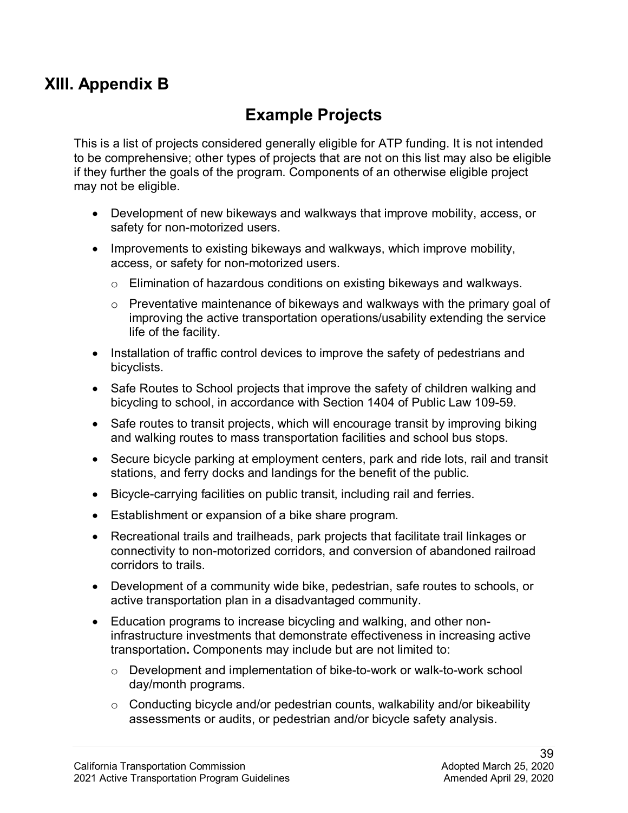## **XIII. Appendix B**

## **Example Projects**

This is a list of projects considered generally eligible for ATP funding. It is not intended to be comprehensive; other types of projects that are not on this list may also be eligible if they further the goals of the program. Components of an otherwise eligible project may not be eligible.

- • Development of new bikeways and walkways that improve mobility, access, or safety for non-motorized users.
- Improvements to existing bikeways and walkways, which improve mobility, access, or safety for non-motorized users.
	- o Elimination of hazardous conditions on existing bikeways and walkways.
	- o Preventative maintenance of bikeways and walkways with the primary goal of improving the active transportation operations/usability extending the service life of the facility.
- Installation of traffic control devices to improve the safety of pedestrians and bicyclists.
- Safe Routes to School projects that improve the safety of children walking and bicycling to school, in accordance with Section 1404 of Public Law 109-59.
- Safe routes to transit projects, which will encourage transit by improving biking and walking routes to mass transportation facilities and school bus stops.
- • Secure bicycle parking at employment centers, park and ride lots, rail and transit stations, and ferry docks and landings for the benefit of the public.
- Bicycle-carrying facilities on public transit, including rail and ferries.
- Establishment or expansion of a bike share program.
- • Recreational trails and trailheads, park projects that facilitate trail linkages or connectivity to non-motorized corridors, and conversion of abandoned railroad corridors to trails.
- Development of a community wide bike, pedestrian, safe routes to schools, or active transportation plan in a disadvantaged community.
- infrastructure investments that demonstrate effectiveness in increasing active • Education programs to increase bicycling and walking, and other nontransportation**.** Components may include but are not limited to:
	- o Development and implementation of bike-to-work or walk-to-work school day/month programs.
	- $\circ$  Conducting bicycle and/or pedestrian counts, walkability and/or bikeability assessments or audits, or pedestrian and/or bicycle safety analysis.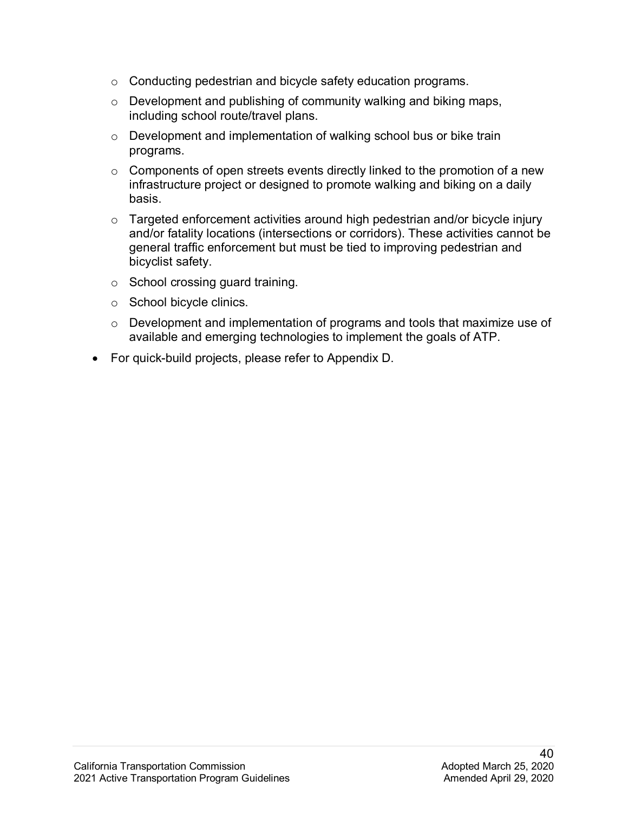- o Conducting pedestrian and bicycle safety education programs.
- o Development and publishing of community walking and biking maps, including school route/travel plans.
- o Development and implementation of walking school bus or bike train programs.
- $\circ$  Components of open streets events directly linked to the promotion of a new infrastructure project or designed to promote walking and biking on a daily basis.
- $\circ$  Targeted enforcement activities around high pedestrian and/or bicycle injury and/or fatality locations (intersections or corridors). These activities cannot be general traffic enforcement but must be tied to improving pedestrian and bicyclist safety.
- o School crossing guard training.
- o School bicycle clinics.
- o Development and implementation of programs and tools that maximize use of available and emerging technologies to implement the goals of ATP.
- For quick-build projects, please refer to Appendix D.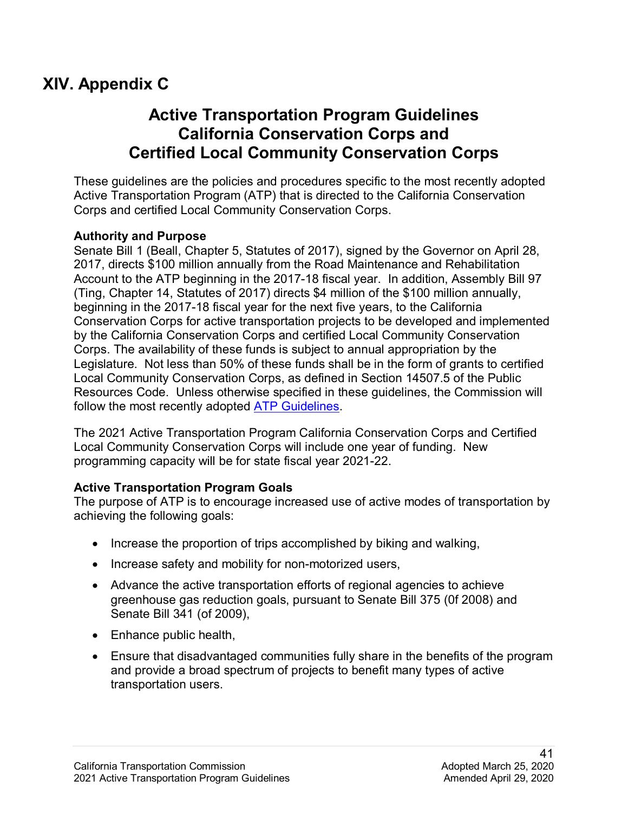## **XIV. Appendix C**

## **Active Transportation Program Guidelines California Conservation Corps and Certified Local Community Conservation Corps**

These guidelines are the policies and procedures specific to the most recently adopted Active Transportation Program (ATP) that is directed to the California Conservation Corps and certified Local Community Conservation Corps.

#### **Authority and Purpose**

follow the most recently adopted <u>ATP Guidelines</u>. Senate Bill 1 (Beall, Chapter 5, Statutes of 2017), signed by the Governor on April 28, 2017, directs \$100 million annually from the Road Maintenance and Rehabilitation Account to the ATP beginning in the 2017-18 fiscal year. In addition, Assembly Bill 97 (Ting, Chapter 14, Statutes of 2017) directs \$4 million of the \$100 million annually, beginning in the 2017-18 fiscal year for the next five years, to the California Conservation Corps for active transportation projects to be developed and implemented by the California Conservation Corps and certified Local Community Conservation Corps. The availability of these funds is subject to annual appropriation by the Legislature. Not less than 50% of these funds shall be in the form of grants to certified Local Community Conservation Corps, as defined in Section 14507.5 of the Public Resources Code. Unless otherwise specified in these guidelines, the Commission will

The 2021 Active Transportation Program California Conservation Corps and Certified Local Community Conservation Corps will include one year of funding. New programming capacity will be for state fiscal year 2021-22.

#### **Active Transportation Program Goals**

The purpose of ATP is to encourage increased use of active modes of transportation by achieving the following goals:

- Increase the proportion of trips accomplished by biking and walking,
- Increase safety and mobility for non-motorized users,
- Advance the active transportation efforts of regional agencies to achieve greenhouse gas reduction goals, pursuant to Senate Bill 375 (0f 2008) and Senate Bill 341 (of 2009),
- Enhance public health,
- transportation users. • Ensure that disadvantaged communities fully share in the benefits of the program and provide a broad spectrum of projects to benefit many types of active transportation users.<br>
241<br>California Transportation Commission Adopted March 25, 2020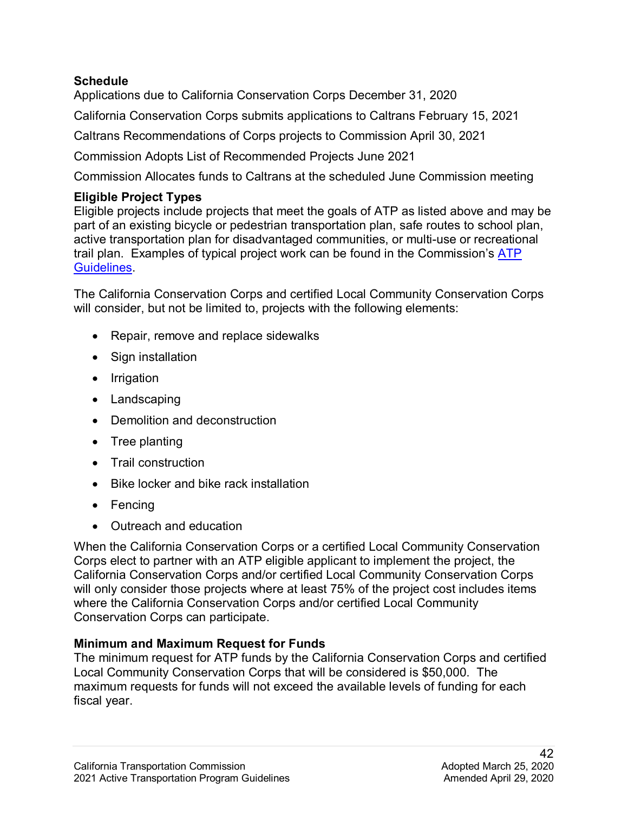#### **Schedule**

Applications due to California Conservation Corps December 31, 2020

California Conservation Corps submits applications to Caltrans February 15, 2021

Caltrans Recommendations of Corps projects to Commission April 30, 2021

Commission Adopts List of Recommended Projects June 2021

Commission Allocates funds to Caltrans at the scheduled June Commission meeting

### **Eligible Project Types**

Eligible projects include projects that meet the goals of ATP as listed above and may be part of an existing bicycle or pedestrian transportation plan, safe routes to school plan, active transportation plan for disadvantaged communities, or multi-use or recreational trail plan. Examples of typical project work can be found in the Commission's [ATP](https://catc.ca.gov/programs/active-transportation-program)  [Guidelines.](https://catc.ca.gov/programs/active-transportation-program)

The California Conservation Corps and certified Local Community Conservation Corps will consider, but not be limited to, projects with the following elements:

- Repair, remove and replace sidewalks
- Sign installation
- Irrigation
- Landscaping
- Demolition and deconstruction
- Tree planting
- Trail construction
- Bike locker and bike rack installation
- Fencing
- Outreach and education

 will only consider those projects where at least 75% of the project cost includes items Conservation Corps can participate. When the California Conservation Corps or a certified Local Community Conservation Corps elect to partner with an ATP eligible applicant to implement the project, the California Conservation Corps and/or certified Local Community Conservation Corps where the California Conservation Corps and/or certified Local Community

### **Minimum and Maximum Request for Funds**

The minimum request for ATP funds by the California Conservation Corps and certified Local Community Conservation Corps that will be considered is \$50,000. The maximum requests for funds will not exceed the available levels of funding for each fiscal year.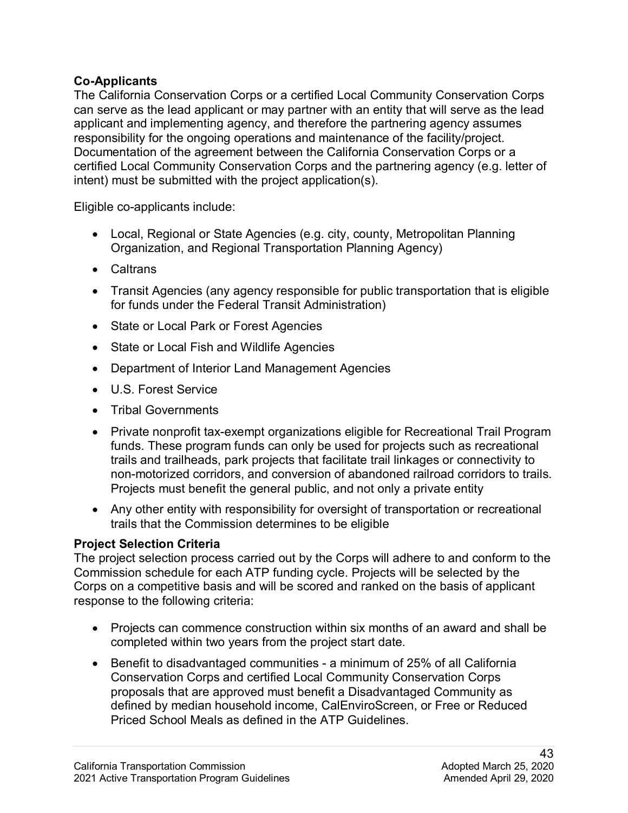#### **Co-Applicants**

 applicant and implementing agency, and therefore the partnering agency assumes responsibility for the ongoing operations and maintenance of the facility/project. intent) must be submitted with the project application(s).<br>Eligible co-applicants include: The California Conservation Corps or a certified Local Community Conservation Corps can serve as the lead applicant or may partner with an entity that will serve as the lead Documentation of the agreement between the California Conservation Corps or a certified Local Community Conservation Corps and the partnering agency (e.g. letter of

- Local, Regional or State Agencies (e.g. city, county, Metropolitan Planning Organization, and Regional Transportation Planning Agency)
- Caltrans
- • Transit Agencies (any agency responsible for public transportation that is eligible for funds under the Federal Transit Administration)
- State or Local Park or Forest Agencies
- State or Local Fish and Wildlife Agencies
- Department of Interior Land Management Agencies
- U.S. Forest Service
- Tribal Governments
- non-motorized corridors, and conversion of abandoned railroad corridors to trails.<br>Projects must benefit the general public, and not only a private entity • Private nonprofit tax-exempt organizations eligible for Recreational Trail Program funds. These program funds can only be used for projects such as recreational trails and trailheads, park projects that facilitate trail linkages or connectivity to
- Any other entity with responsibility for oversight of transportation or recreational trails that the Commission determines to be eligible

#### **Project Selection Criteria**

 Corps on a competitive basis and will be scored and ranked on the basis of applicant The project selection process carried out by the Corps will adhere to and conform to the Commission schedule for each ATP funding cycle. Projects will be selected by the response to the following criteria:

- Projects can commence construction within six months of an award and shall be completed within two years from the project start date.
- Priced School Meals as defined in the ATP Guidelines. • Benefit to disadvantaged communities - a minimum of 25% of all California Conservation Corps and certified Local Community Conservation Corps proposals that are approved must benefit a Disadvantaged Community as defined by median household income, CalEnviroScreen, or Free or Reduced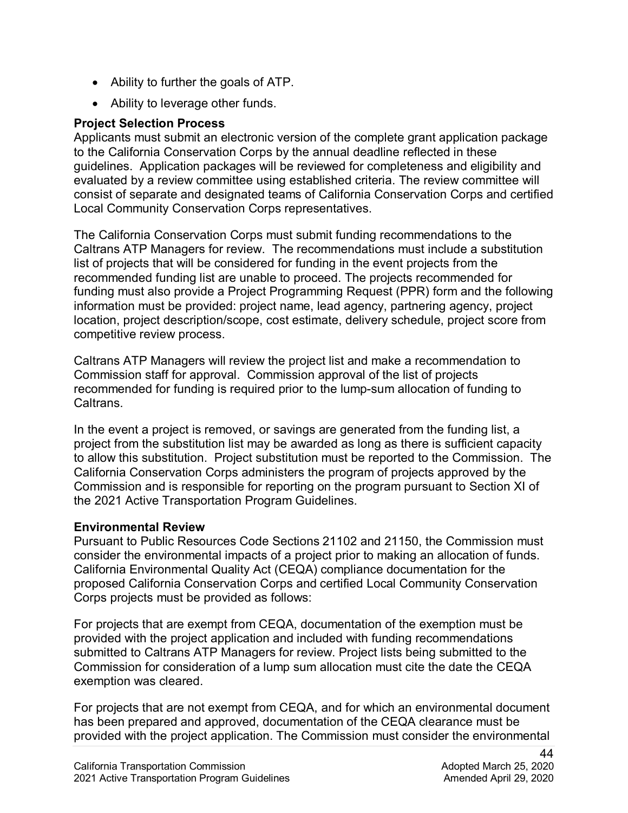- Ability to further the goals of ATP.
- Ability to leverage other funds.

#### **Project Selection Process**

 guidelines. Application packages will be reviewed for completeness and eligibility and Applicants must submit an electronic version of the complete grant application package to the California Conservation Corps by the annual deadline reflected in these evaluated by a review committee using established criteria. The review committee will consist of separate and designated teams of California Conservation Corps and certified Local Community Conservation Corps representatives.

 Caltrans ATP Managers for review. The recommendations must include a substitution funding must also provide a Project Programming Request (PPR) form and the following The California Conservation Corps must submit funding recommendations to the list of projects that will be considered for funding in the event projects from the recommended funding list are unable to proceed. The projects recommended for information must be provided: project name, lead agency, partnering agency, project location, project description/scope, cost estimate, delivery schedule, project score from competitive review process.

 Commission staff for approval. Commission approval of the list of projects Caltrans ATP Managers will review the project list and make a recommendation to recommended for funding is required prior to the lump-sum allocation of funding to **Caltrans** 

 to allow this substitution. Project substitution must be reported to the Commission. The In the event a project is removed, or savings are generated from the funding list, a project from the substitution list may be awarded as long as there is sufficient capacity California Conservation Corps administers the program of projects approved by the Commission and is responsible for reporting on the program pursuant to Section XI of the 2021 Active Transportation Program Guidelines.

#### **Environmental Review**

 consider the environmental impacts of a project prior to making an allocation of funds. Pursuant to Public Resources Code Sections 21102 and 21150, the Commission must California Environmental Quality Act (CEQA) compliance documentation for the proposed California Conservation Corps and certified Local Community Conservation Corps projects must be provided as follows:

 submitted to Caltrans ATP Managers for review. Project lists being submitted to the For projects that are exempt from CEQA, documentation of the exemption must be provided with the project application and included with funding recommendations Commission for consideration of a lump sum allocation must cite the date the CEQA exemption was cleared.

 For projects that are not exempt from CEQA, and for which an environmental document has been prepared and approved, documentation of the CEQA clearance must be provided with the project application. The Commission must consider the environmental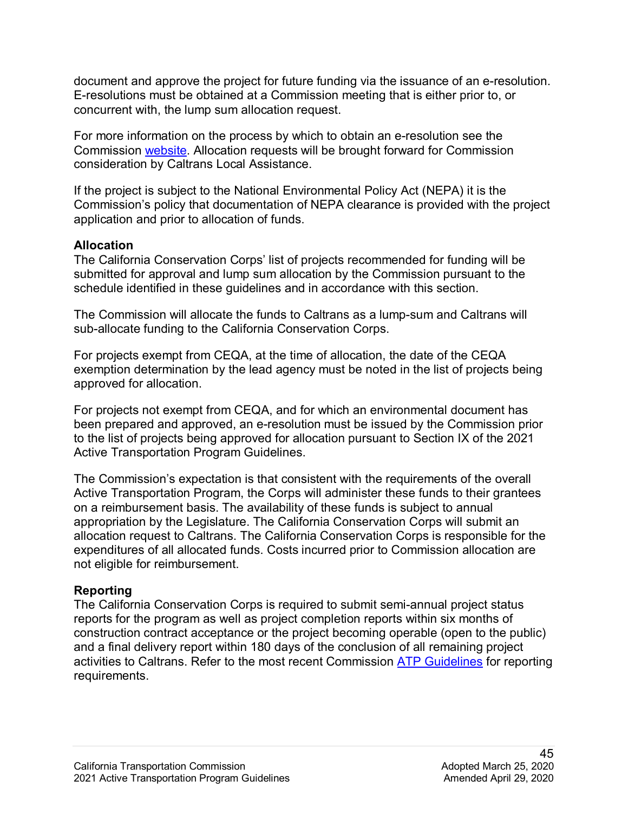E-resolutions must be obtained at a Commission meeting that is either prior to, or document and approve the project for future funding via the issuance of an e-resolution. concurrent with, the lump sum allocation request.

Commission [website.](http://www.catc.ca.gov/programs/environmental/) Allocation requests will be brought forward for Commission consideration by Caltrans Local Assistance. For more information on the process by which to obtain an e-resolution see the

If the project is subject to the National Environmental Policy Act (NEPA) it is the Commission's policy that documentation of NEPA clearance is provided with the project application and prior to allocation of funds.

#### **Allocation**

schedule identified in these guidelines and in accordance with this section. The California Conservation Corps' list of projects recommended for funding will be submitted for approval and lump sum allocation by the Commission pursuant to the

The Commission will allocate the funds to Caltrans as a lump-sum and Caltrans will sub-allocate funding to the California Conservation Corps.

For projects exempt from CEQA, at the time of allocation, the date of the CEQA exemption determination by the lead agency must be noted in the list of projects being approved for allocation.

For projects not exempt from CEQA, and for which an environmental document has been prepared and approved, an e-resolution must be issued by the Commission prior to the list of projects being approved for allocation pursuant to Section IX of the 2021 Active Transportation Program Guidelines.

 Active Transportation Program, the Corps will administer these funds to their grantees allocation request to Caltrans. The California Conservation Corps is responsible for the The Commission's expectation is that consistent with the requirements of the overall on a reimbursement basis. The availability of these funds is subject to annual appropriation by the Legislature. The California Conservation Corps will submit an expenditures of all allocated funds. Costs incurred prior to Commission allocation are not eligible for reimbursement.

### **Reporting**

 The California Conservation Corps is required to submit semi-annual project status reports for the program as well as project completion reports within six months of requirements. construction contract acceptance or the project becoming operable (open to the public) and a final delivery report within 180 days of the conclusion of all remaining project activities to Caltrans. Refer to the most recent Commission [ATP Guidelines](https://catc.ca.gov/programs/active-transportation-program) for reporting requirements.<br>245<br>California Transportation Commission Adopted March 25, 2020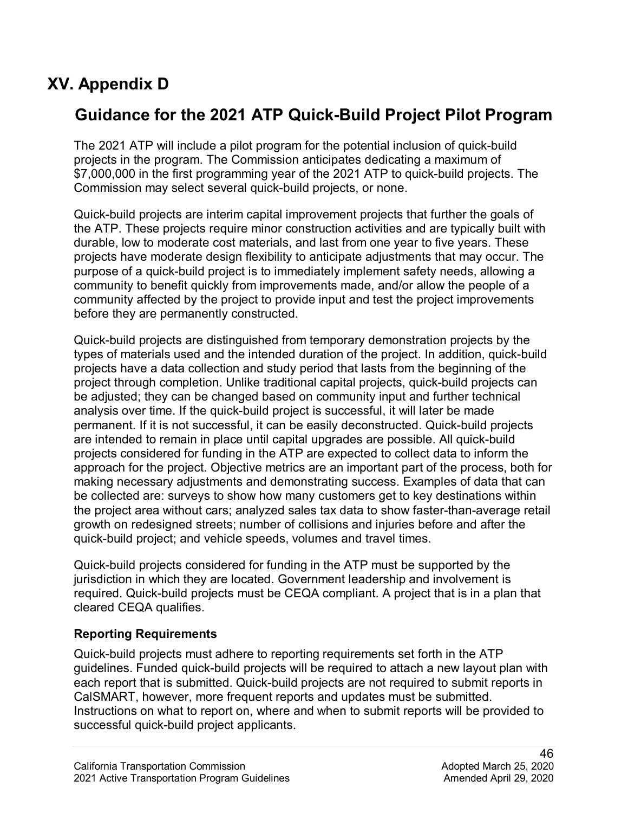## **XV. Appendix D**

## **Guidance for the 2021 ATP Quick-Build Project Pilot Program**

The 2021 ATP will include a pilot program for the potential inclusion of quick-build projects in the program. The Commission anticipates dedicating a maximum of \$7,000,000 in the first programming year of the 2021 ATP to quick-build projects. The Commission may select several quick-build projects, or none.

 the ATP. These projects require minor construction activities and are typically built with Quick-build projects are interim capital improvement projects that further the goals of durable, low to moderate cost materials, and last from one year to five years. These projects have moderate design flexibility to anticipate adjustments that may occur. The purpose of a quick-build project is to immediately implement safety needs, allowing a community to benefit quickly from improvements made, and/or allow the people of a community affected by the project to provide input and test the project improvements before they are permanently constructed.

 projects have a data collection and study period that lasts from the beginning of the be adjusted; they can be changed based on community input and further technical approach for the project. Objective metrics are an important part of the process, both for Quick-build projects are distinguished from temporary demonstration projects by the types of materials used and the intended duration of the project. In addition, quick-build project through completion. Unlike traditional capital projects, quick-build projects can analysis over time. If the quick-build project is successful, it will later be made permanent. If it is not successful, it can be easily deconstructed. Quick-build projects are intended to remain in place until capital upgrades are possible. All quick-build projects considered for funding in the ATP are expected to collect data to inform the making necessary adjustments and demonstrating success. Examples of data that can be collected are: surveys to show how many customers get to key destinations within the project area without cars; analyzed sales tax data to show faster-than-average retail growth on redesigned streets; number of collisions and injuries before and after the quick-build project; and vehicle speeds, volumes and travel times.

 jurisdiction in which they are located. Government leadership and involvement is required. Quick-build projects must be CEQA compliant. A project that is in a plan that Quick-build projects considered for funding in the ATP must be supported by the cleared CEQA qualifies.

### **Reporting Requirements**

 successful quick-build project applicants. Quick-build projects must adhere to reporting requirements set forth in the ATP guidelines. Funded quick-build projects will be required to attach a new layout plan with each report that is submitted. Quick-build projects are not required to submit reports in CalSMART, however, more frequent reports and updates must be submitted. Instructions on what to report on, where and when to submit reports will be provided to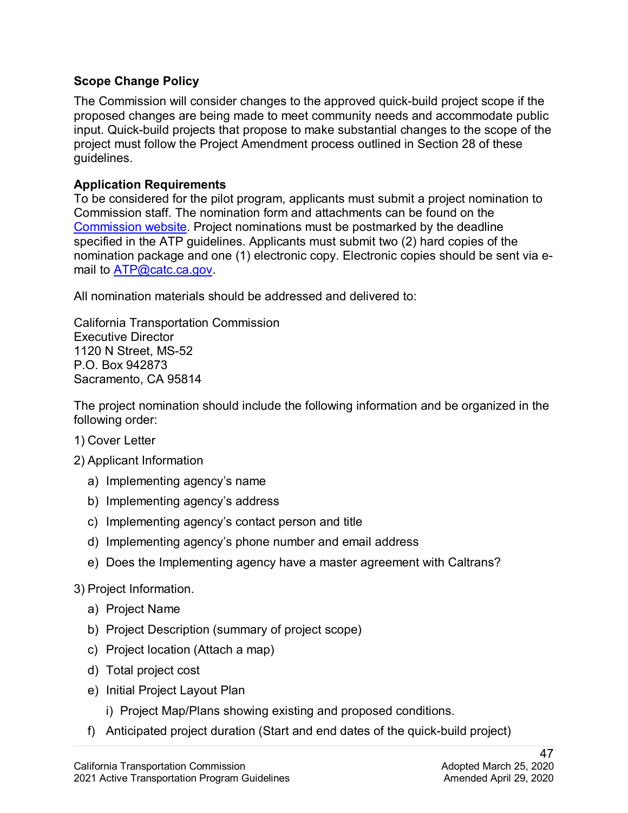### **Scope Change Policy**

 project must follow the Project Amendment process outlined in Section 28 of these The Commission will consider changes to the approved quick-build project scope if the proposed changes are being made to meet community needs and accommodate public input. Quick-build projects that propose to make substantial changes to the scope of the guidelines.

#### **Application Requirements**

To be considered for the pilot program, applicants must submit a project nomination to Commission staff. The nomination form and attachments can be found on the [Commission website.](https://catc.ca.gov/programs/active-transportation-program) Project nominations must be postmarked by the deadline specified in the ATP guidelines. Applicants must submit two (2) hard copies of the nomination package and one (1) electronic copy. Electronic copies should be sent via e-mail to [ATP@catc.ca.gov.](mailto:ATP@catc.ca.gov)

All nomination materials should be addressed and delivered to:

California Transportation Commission Executive Director 1120 N Street, MS-52 P.O. Box 942873 Sacramento, CA 95814

The project nomination should include the following information and be organized in the following order:

- 1) Cover Letter
- 2) Applicant Information
	- a) Implementing agency's name
	- b) Implementing agency's address
	- c) Implementing agency's contact person and title
	- d) Implementing agency's phone number and email address
	- e) Does the Implementing agency have a master agreement with Caltrans?

## 3) Project Information.

- a) Project Name
- b) Project Description (summary of project scope)
- c) Project location (Attach a map)
- d) Total project cost
- e) Initial Project Layout Plan
	- i) Project Map/Plans showing existing and proposed conditions.
- f) Anticipated project duration (Start and end dates of the quick-build project)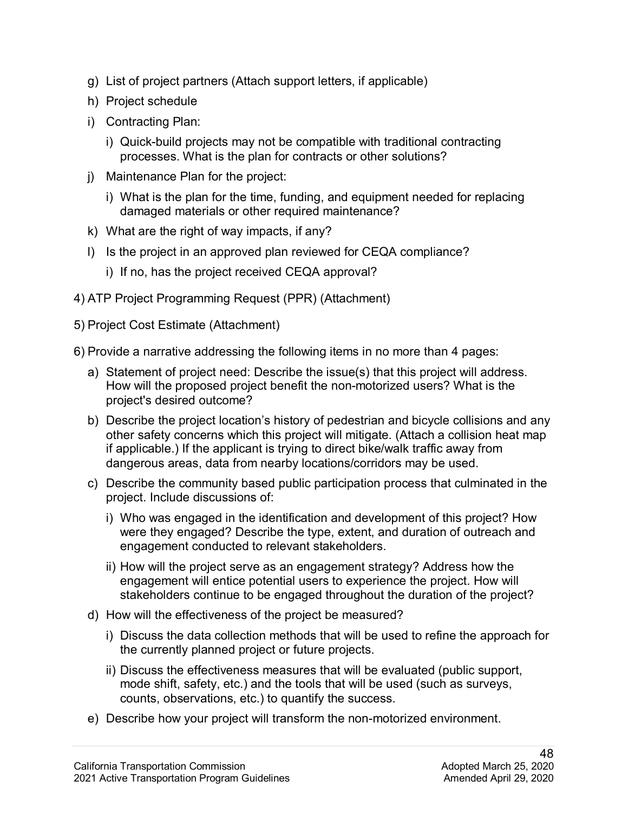- g) List of project partners (Attach support letters, if applicable)
- h) Project schedule
- i) Contracting Plan:
	- processes. What is the plan for contracts or other solutions? i) Quick-build projects may not be compatible with traditional contracting
- j) Maintenance Plan for the project:
	- i) What is the plan for the time, funding, and equipment needed for replacing damaged materials or other required maintenance?
- k) What are the right of way impacts, if any?
- l) Is the project in an approved plan reviewed for CEQA compliance?
	- i) If no, has the project received CEQA approval?
- 4) ATP Project Programming Request (PPR) (Attachment)
- 5) Project Cost Estimate (Attachment)
- 6) Provide a narrative addressing the following items in no more than 4 pages:
	- a) Statement of project need: Describe the issue(s) that this project will address. How will the proposed project benefit the non-motorized users? What is the project's desired outcome?
	- b) Describe the project location's history of pedestrian and bicycle collisions and any other safety concerns which this project will mitigate. (Attach a collision heat map if applicable.) If the applicant is trying to direct bike/walk traffic away from dangerous areas, data from nearby locations/corridors may be used.
	- c) Describe the community based public participation process that culminated in the project. Include discussions of:
		- i) Who was engaged in the identification and development of this project? How were they engaged? Describe the type, extent, and duration of outreach and engagement conducted to relevant stakeholders.
		- ii) How will the project serve as an engagement strategy? Address how the engagement will entice potential users to experience the project. How will stakeholders continue to be engaged throughout the duration of the project?
	- d) How will the effectiveness of the project be measured?
		- i) Discuss the data collection methods that will be used to refine the approach for the currently planned project or future projects.
		- mode shift, safety, etc.) and the tools that will be used (such as surveys, ii) Discuss the effectiveness measures that will be evaluated (public support, counts, observations, etc.) to quantify the success.
	- e) Describe how your project will transform the non-motorized environment.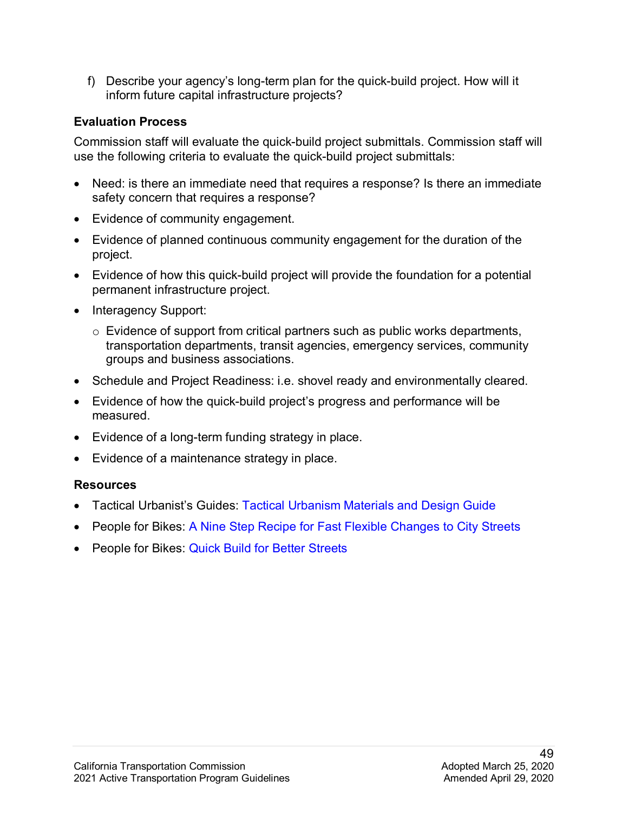f) Describe your agency's long-term plan for the quick-build project. How will it inform future capital infrastructure projects?

### **Evaluation Process**

 Commission staff will evaluate the quick-build project submittals. Commission staff will use the following criteria to evaluate the quick-build project submittals:

- Need: is there an immediate need that requires a response? Is there an immediate safety concern that requires a response?
- Evidence of community engagement.
- • Evidence of planned continuous community engagement for the duration of the project.
- Evidence of how this quick-build project will provide the foundation for a potential permanent infrastructure project.
- Interagency Support:
	- $\circ$  Evidence of support from critical partners such as public works departments, transportation departments, transit agencies, emergency services, community groups and business associations.
- Schedule and Project Readiness: i.e. shovel ready and environmentally cleared.
- Evidence of how the quick-build project's progress and performance will be measured.
- Evidence of a long-term funding strategy in place.
- Evidence of a maintenance strategy in place.

## **Resources**

- Tactical Urbanist's Guides: [Tactical Urbanism Materials and Design Guide](http://tacticalurbanismguide.com/guides/)
- People for Bikes: A Nine Step Recipe for Fast Flexible Changes to City Streets
- People for Bikes: [Quick Build for Better Streets](https://bit.ly/QuickBuildsReport)